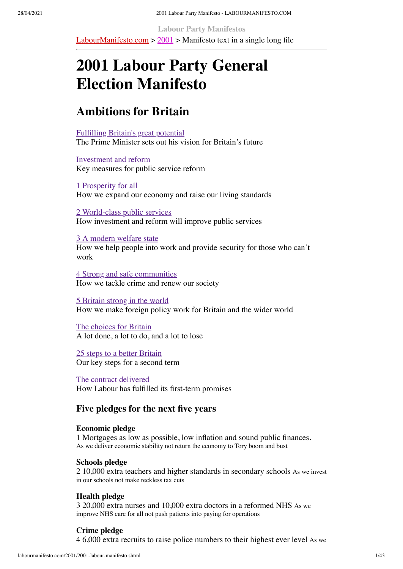**Labour Party Manifestos** [LabourManifesto.com](http://labourmanifesto.com/) >  $2001$  > Manifesto text in a single long file

# **2001 Labour Party General Election Manifesto**

## **Ambitions for Britain**

[Fulfilling Britain's great potential](http://labourmanifesto.com/2001/2001-labour-manifesto.shtml) The Prime Minister sets out his vision for Britain's future

[Investment and reform](http://labourmanifesto.com/2001/2001-labour-manifesto.shtml) Key measures for public service reform

[1 Prosperity for all](http://labourmanifesto.com/2001/2001-labour-manifesto.shtml) How we expand our economy and raise our living standards

[2 World-class public services](http://labourmanifesto.com/2001/2001-labour-manifesto.shtml) How investment and reform will improve public services

[3 A modern welfare state](http://labourmanifesto.com/2001/2001-labour-manifesto.shtml) How we help people into work and provide security for those who can't work

[4 Strong and safe communities](http://labourmanifesto.com/2001/2001-labour-manifesto.shtml) How we tackle crime and renew our society

[5 Britain strong in the world](http://labourmanifesto.com/2001/2001-labour-manifesto.shtml) How we make foreign policy work for Britain and the wider world

[The choices for Britain](http://labourmanifesto.com/2001/2001-labour-manifesto.shtml) A lot done, a lot to do, and a lot to lose

[25 steps to a better Britain](http://labourmanifesto.com/2001/2001-labour-manifesto.shtml) Our key steps for a second term

[The contract delivered](http://labourmanifesto.com/2001/2001-labour-manifesto.shtml) How Labour has fulfilled its first-term promises

### **Five pledges for the next five years**

### **Economic pledge**

1 Mortgages as low as possible, low inflation and sound public finances. As we deliver economic stability not return the economy to Tory boom and bust

### **Schools pledge**

2 10,000 extra teachers and higher standards in secondary schools As we invest in our schools not make reckless tax cuts

### **Health pledge**

3 20,000 extra nurses and 10,000 extra doctors in a reformed NHS As we improve NHS care for all not push patients into paying for operations

### **Crime pledge**

4 6,000 extra recruits to raise police numbers to their highest ever level As we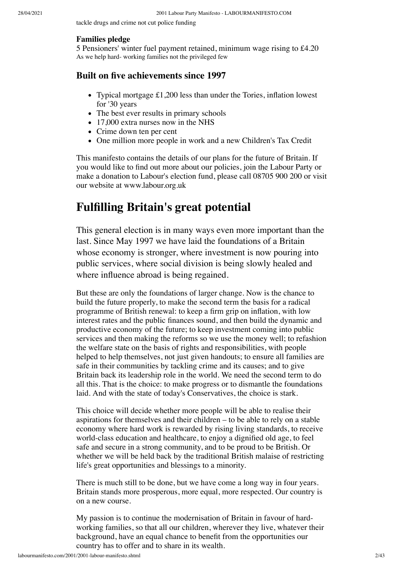tackle drugs and crime not cut police funding

### **Families pledge**

5 Pensioners' winter fuel payment retained, minimum wage rising to £4.20 As we help hard- working families not the privileged few

### **Built on five achievements since 1997**

- Typical mortgage £1,200 less than under the Tories, inflation lowest for '30 years
- The best ever results in primary schools
- 17,000 extra nurses now in the NHS
- Crime down ten per cent
- One million more people in work and a new Children's Tax Credit

This manifesto contains the details of our plans for the future of Britain. If you would like to find out more about our policies, join the Labour Party or make a donation to Labour's election fund, please call 08705 900 200 or visit our website at www.labour.org.uk

## **Fulfilling Britain's great potential**

This general election is in many ways even more important than the last. Since May 1997 we have laid the foundations of a Britain whose economy is stronger, where investment is now pouring into public services, where social division is being slowly healed and where influence abroad is being regained.

But these are only the foundations of larger change. Now is the chance to build the future properly, to make the second term the basis for a radical programme of British renewal: to keep a firm grip on inflation, with low interest rates and the public finances sound, and then build the dynamic and productive economy of the future; to keep investment coming into public services and then making the reforms so we use the money well; to refashion the welfare state on the basis of rights and responsibilities, with people helped to help themselves, not just given handouts; to ensure all families are safe in their communities by tackling crime and its causes; and to give Britain back its leadership role in the world. We need the second term to do all this. That is the choice: to make progress or to dismantle the foundations laid. And with the state of today's Conservatives, the choice is stark.

This choice will decide whether more people will be able to realise their aspirations for themselves and their children – to be able to rely on a stable economy where hard work is rewarded by rising living standards, to receive world-class education and healthcare, to enjoy a dignified old age, to feel safe and secure in a strong community, and to be proud to be British. Or whether we will be held back by the traditional British malaise of restricting life's great opportunities and blessings to a minority.

There is much still to be done, but we have come a long way in four years. Britain stands more prosperous, more equal, more respected. Our country is on a new course.

My passion is to continue the modernisation of Britain in favour of hardworking families, so that all our children, wherever they live, whatever their background, have an equal chance to benefit from the opportunities our country has to offer and to share in its wealth.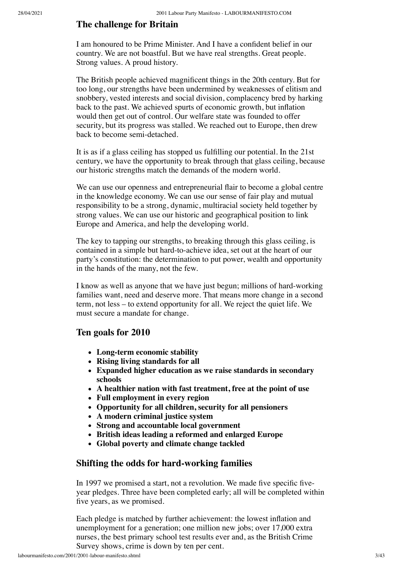### **The challenge for Britain**

I am honoured to be Prime Minister. And I have a confident belief in our country. We are not boastful. But we have real strengths. Great people. Strong values. A proud history.

The British people achieved magnificent things in the 20th century. But for too long, our strengths have been undermined by weaknesses of elitism and snobbery, vested interests and social division, complacency bred by harking back to the past. We achieved spurts of economic growth, but inflation would then get out of control. Our welfare state was founded to offer security, but its progress was stalled. We reached out to Europe, then drew back to become semi-detached.

It is as if a glass ceiling has stopped us fulfilling our potential. In the 21st century, we have the opportunity to break through that glass ceiling, because our historic strengths match the demands of the modern world.

We can use our openness and entrepreneurial flair to become a global centre in the knowledge economy. We can use our sense of fair play and mutual responsibility to be a strong, dynamic, multiracial society held together by strong values. We can use our historic and geographical position to link Europe and America, and help the developing world.

The key to tapping our strengths, to breaking through this glass ceiling, is contained in a simple but hard-to-achieve idea, set out at the heart of our party's constitution: the determination to put power, wealth and opportunity in the hands of the many, not the few.

I know as well as anyone that we have just begun; millions of hard-working families want, need and deserve more. That means more change in a second term, not less – to extend opportunity for all. We reject the quiet life. We must secure a mandate for change.

### **Ten goals for 2010**

- **Long-term economic stability**
- **Rising living standards for all**
- **Expanded higher education as we raise standards in secondary schools**
- **A healthier nation with fast treatment, free at the point of use**
- **Full employment in every region**
- **Opportunity for all children, security for all pensioners**
- **A modern criminal justice system**
- **Strong and accountable local government**
- **British ideas leading a reformed and enlarged Europe**
- **Global poverty and climate change tackled**

### **Shifting the odds for hard-working families**

In 1997 we promised a start, not a revolution. We made five specific fiveyear pledges. Three have been completed early; all will be completed within five years, as we promised.

Each pledge is matched by further achievement: the lowest inflation and unemployment for a generation; one million new jobs; over 17,000 extra nurses, the best primary school test results ever and, as the British Crime Survey shows, crime is down by ten per cent.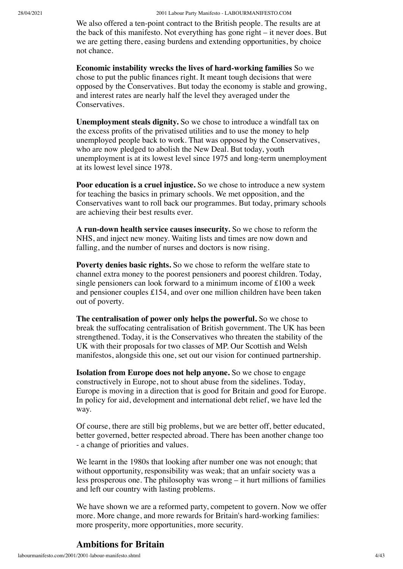We also offered a ten-point contract to the British people. The results are at the back of this manifesto. Not everything has gone right – it never does. But we are getting there, easing burdens and extending opportunities, by choice not chance.

**Economic instability wrecks the lives of hard-working families** So we chose to put the public finances right. It meant tough decisions that were opposed by the Conservatives. But today the economy is stable and growing, and interest rates are nearly half the level they averaged under the Conservatives.

**Unemployment steals dignity.** So we chose to introduce a windfall tax on the excess profits of the privatised utilities and to use the money to help unemployed people back to work. That was opposed by the Conservatives, who are now pledged to abolish the New Deal. But today, youth unemployment is at its lowest level since 1975 and long-term unemployment at its lowest level since 1978.

**Poor education is a cruel injustice.** So we chose to introduce a new system for teaching the basics in primary schools. We met opposition, and the Conservatives want to roll back our programmes. But today, primary schools are achieving their best results ever.

**A run-down health service causes insecurity.** So we chose to reform the NHS, and inject new money. Waiting lists and times are now down and falling, and the number of nurses and doctors is now rising.

**Poverty denies basic rights.** So we chose to reform the welfare state to channel extra money to the poorest pensioners and poorest children. Today, single pensioners can look forward to a minimum income of £100 a week and pensioner couples £154, and over one million children have been taken out of poverty.

**The centralisation of power only helps the powerful.** So we chose to break the suffocating centralisation of British government. The UK has been strengthened. Today, it is the Conservatives who threaten the stability of the UK with their proposals for two classes of MP. Our Scottish and Welsh manifestos, alongside this one, set out our vision for continued partnership.

**Isolation from Europe does not help anyone.** So we chose to engage constructively in Europe, not to shout abuse from the sidelines. Today, Europe is moving in a direction that is good for Britain and good for Europe. In policy for aid, development and international debt relief, we have led the way.

Of course, there are still big problems, but we are better off, better educated, better governed, better respected abroad. There has been another change too - a change of priorities and values.

We learnt in the 1980s that looking after number one was not enough; that without opportunity, responsibility was weak; that an unfair society was a less prosperous one. The philosophy was wrong – it hurt millions of families and left our country with lasting problems.

We have shown we are a reformed party, competent to govern. Now we offer more. More change, and more rewards for Britain's hard-working families: more prosperity, more opportunities, more security.

### **Ambitions for Britain**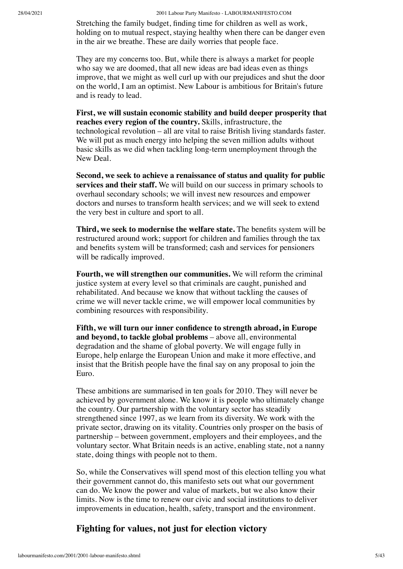Stretching the family budget, finding time for children as well as work, holding on to mutual respect, staying healthy when there can be danger even in the air we breathe. These are daily worries that people face.

They are my concerns too. But, while there is always a market for people who say we are doomed, that all new ideas are bad ideas even as things improve, that we might as well curl up with our prejudices and shut the door on the world, I am an optimist. New Labour is ambitious for Britain's future and is ready to lead.

**First, we will sustain economic stability and build deeper prosperity that reaches every region of the country.** Skills, infrastructure, the technological revolution – all are vital to raise British living standards faster. We will put as much energy into helping the seven million adults without basic skills as we did when tackling long-term unemployment through the New Deal.

**Second, we seek to achieve a renaissance of status and quality for public services and their staff.** We will build on our success in primary schools to overhaul secondary schools; we will invest new resources and empower doctors and nurses to transform health services; and we will seek to extend the very best in culture and sport to all.

**Third, we seek to modernise the welfare state.** The benefits system will be restructured around work; support for children and families through the tax and benefits system will be transformed; cash and services for pensioners will be radically improved.

**Fourth, we will strengthen our communities.** We will reform the criminal justice system at every level so that criminals are caught, punished and rehabilitated. And because we know that without tackling the causes of crime we will never tackle crime, we will empower local communities by combining resources with responsibility.

**Fifth, we will turn our inner confidence to strength abroad, in Europe and beyond, to tackle global problems** – above all, environmental degradation and the shame of global poverty. We will engage fully in Europe, help enlarge the European Union and make it more effective, and insist that the British people have the final say on any proposal to join the Euro.

These ambitions are summarised in ten goals for 2010. They will never be achieved by government alone. We know it is people who ultimately change the country. Our partnership with the voluntary sector has steadily strengthened since 1997, as we learn from its diversity. We work with the private sector, drawing on its vitality. Countries only prosper on the basis of partnership – between government, employers and their employees, and the voluntary sector. What Britain needs is an active, enabling state, not a nanny state, doing things with people not to them.

So, while the Conservatives will spend most of this election telling you what their government cannot do, this manifesto sets out what our government can do. We know the power and value of markets, but we also know their limits. Now is the time to renew our civic and social institutions to deliver improvements in education, health, safety, transport and the environment.

### **Fighting for values, not just for election victory**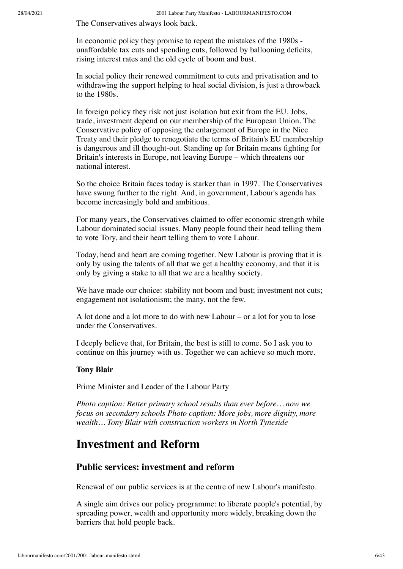The Conservatives always look back.

In economic policy they promise to repeat the mistakes of the 1980s unaffordable tax cuts and spending cuts, followed by ballooning deficits, rising interest rates and the old cycle of boom and bust.

In social policy their renewed commitment to cuts and privatisation and to withdrawing the support helping to heal social division, is just a throwback to the 1980s.

In foreign policy they risk not just isolation but exit from the EU. Jobs, trade, investment depend on our membership of the European Union. The Conservative policy of opposing the enlargement of Europe in the Nice Treaty and their pledge to renegotiate the terms of Britain's EU membership is dangerous and ill thought-out. Standing up for Britain means fighting for Britain's interests in Europe, not leaving Europe – which threatens our national interest.

So the choice Britain faces today is starker than in 1997. The Conservatives have swung further to the right. And, in government, Labour's agenda has become increasingly bold and ambitious.

For many years, the Conservatives claimed to offer economic strength while Labour dominated social issues. Many people found their head telling them to vote Tory, and their heart telling them to vote Labour.

Today, head and heart are coming together. New Labour is proving that it is only by using the talents of all that we get a healthy economy, and that it is only by giving a stake to all that we are a healthy society.

We have made our choice: stability not boom and bust; investment not cuts; engagement not isolationism; the many, not the few.

A lot done and a lot more to do with new Labour – or a lot for you to lose under the Conservatives.

I deeply believe that, for Britain, the best is still to come. So I ask you to continue on this journey with us. Together we can achieve so much more.

### **Tony Blair**

Prime Minister and Leader of the Labour Party

*Photo caption: Better primary school results than ever before… now we focus on secondary schools Photo caption: More jobs, more dignity, more wealth… Tony Blair with construction workers in North Tyneside*

## **Investment and Reform**

### **Public services: investment and reform**

Renewal of our public services is at the centre of new Labour's manifesto.

A single aim drives our policy programme: to liberate people's potential, by spreading power, wealth and opportunity more widely, breaking down the barriers that hold people back.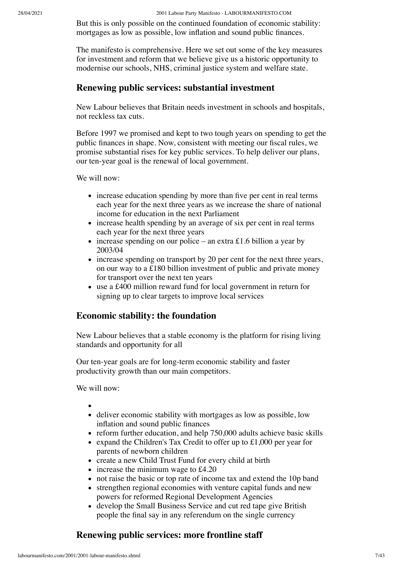But this is only possible on the continued foundation of economic stability: mortgages as low as possible, low inflation and sound public finances.

The manifesto is comprehensive. Here we set out some of the key measures for investment and reform that we believe give us a historic opportunity to modernise our schools, NHS, criminal justice system and welfare state.

### **Renewing public services: substantial investment**

New Labour believes that Britain needs investment in schools and hospitals, not reckless tax cuts.

Before 1997 we promised and kept to two tough years on spending to get the public finances in shape. Now, consistent with meeting our fiscal rules, we promise substantial rises for key public services. To help deliver our plans, our ten-year goal is the renewal of local government.

We will now:

- increase education spending by more than five per cent in real terms each year for the next three years as we increase the share of national income for education in the next Parliament
- increase health spending by an average of six per cent in real terms each year for the next three years
- increase spending on our police an extra £1.6 billion a year by 2003/04
- increase spending on transport by 20 per cent for the next three years, on our way to a £180 billion investment of public and private money for transport over the next ten years
- use a £400 million reward fund for local government in return for signing up to clear targets to improve local services

### **Economic stability: the foundation**

New Labour believes that a stable economy is the platform for rising living standards and opportunity for all

Our ten-year goals are for long-term economic stability and faster productivity growth than our main competitors.

We will now:

- 
- deliver economic stability with mortgages as low as possible, low inflation and sound public finances
- reform further education, and help 750,000 adults achieve basic skills
- expand the Children's Tax Credit to offer up to £1,000 per year for parents of newborn children
- create a new Child Trust Fund for every child at birth
- increase the minimum wage to £4.20
- not raise the basic or top rate of income tax and extend the 10p band
- strengthen regional economies with venture capital funds and new powers for reformed Regional Development Agencies
- develop the Small Business Service and cut red tape give British people the final say in any referendum on the single currency

### **Renewing public services: more frontline staff**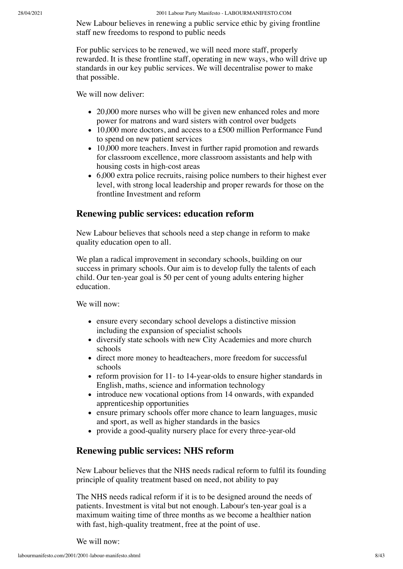New Labour believes in renewing a public service ethic by giving frontline staff new freedoms to respond to public needs

For public services to be renewed, we will need more staff, properly rewarded. It is these frontline staff, operating in new ways, who will drive up standards in our key public services. We will decentralise power to make that possible.

We will now deliver:

- 20,000 more nurses who will be given new enhanced roles and more power for matrons and ward sisters with control over budgets
- 10,000 more doctors, and access to a £500 million Performance Fund to spend on new patient services
- 10,000 more teachers. Invest in further rapid promotion and rewards for classroom excellence, more classroom assistants and help with housing costs in high-cost areas
- 6,000 extra police recruits, raising police numbers to their highest ever level, with strong local leadership and proper rewards for those on the frontline Investment and reform

### **Renewing public services: education reform**

New Labour believes that schools need a step change in reform to make quality education open to all.

We plan a radical improvement in secondary schools, building on our success in primary schools. Our aim is to develop fully the talents of each child. Our ten-year goal is 50 per cent of young adults entering higher education.

We will now:

- ensure every secondary school develops a distinctive mission including the expansion of specialist schools
- diversify state schools with new City Academies and more church schools
- direct more money to headteachers, more freedom for successful schools
- reform provision for 11- to 14-year-olds to ensure higher standards in English, maths, science and information technology
- introduce new vocational options from 14 onwards, with expanded apprenticeship opportunities
- ensure primary schools offer more chance to learn languages, music and sport, as well as higher standards in the basics
- provide a good-quality nursery place for every three-year-old

### **Renewing public services: NHS reform**

New Labour believes that the NHS needs radical reform to fulfil its founding principle of quality treatment based on need, not ability to pay

The NHS needs radical reform if it is to be designed around the needs of patients. Investment is vital but not enough. Labour's ten-year goal is a maximum waiting time of three months as we become a healthier nation with fast, high-quality treatment, free at the point of use.

We will now: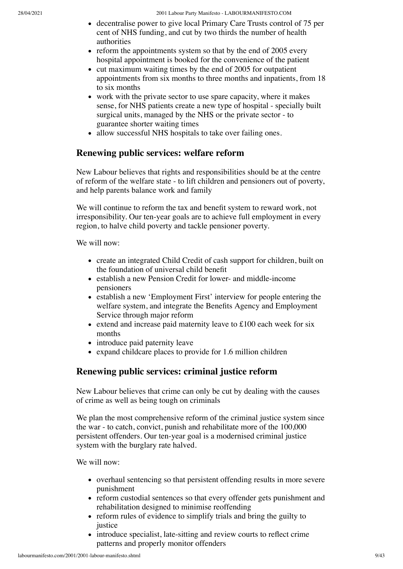- decentralise power to give local Primary Care Trusts control of 75 per cent of NHS funding, and cut by two thirds the number of health authorities
- reform the appointments system so that by the end of 2005 every hospital appointment is booked for the convenience of the patient
- $\bullet$  cut maximum waiting times by the end of 2005 for outpatient appointments from six months to three months and inpatients, from 18 to six months
- work with the private sector to use spare capacity, where it makes sense, for NHS patients create a new type of hospital - specially built surgical units, managed by the NHS or the private sector - to guarantee shorter waiting times
- allow successful NHS hospitals to take over failing ones.

### **Renewing public services: welfare reform**

New Labour believes that rights and responsibilities should be at the centre of reform of the welfare state - to lift children and pensioners out of poverty, and help parents balance work and family

We will continue to reform the tax and benefit system to reward work, not irresponsibility. Our ten-year goals are to achieve full employment in every region, to halve child poverty and tackle pensioner poverty.

We will now:

- create an integrated Child Credit of cash support for children, built on the foundation of universal child benefit
- establish a new Pension Credit for lower- and middle-income pensioners
- establish a new 'Employment First' interview for people entering the welfare system, and integrate the Benefits Agency and Employment Service through major reform
- $\bullet$  extend and increase paid maternity leave to £100 each week for six months
- introduce paid paternity leave
- expand childcare places to provide for 1.6 million children

### **Renewing public services: criminal justice reform**

New Labour believes that crime can only be cut by dealing with the causes of crime as well as being tough on criminals

We plan the most comprehensive reform of the criminal justice system since the war - to catch, convict, punish and rehabilitate more of the 100,000 persistent offenders. Our ten-year goal is a modernised criminal justice system with the burglary rate halved.

We will now:

- overhaul sentencing so that persistent offending results in more severe punishment
- reform custodial sentences so that every offender gets punishment and rehabilitation designed to minimise reoffending
- reform rules of evidence to simplify trials and bring the guilty to justice
- introduce specialist, late-sitting and review courts to reflect crime patterns and properly monitor offenders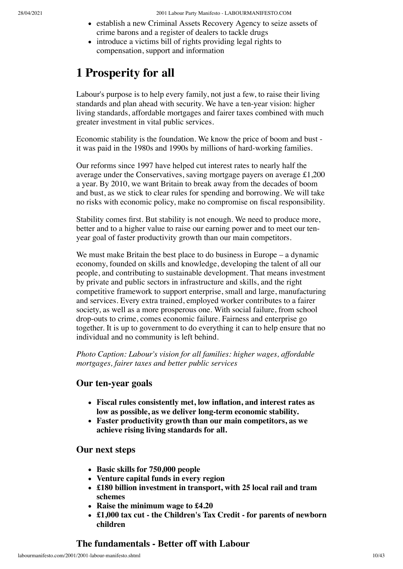- establish a new Criminal Assets Recovery Agency to seize assets of crime barons and a register of dealers to tackle drugs
- introduce a victims bill of rights providing legal rights to compensation, support and information

## **1 Prosperity for all**

Labour's purpose is to help every family, not just a few, to raise their living standards and plan ahead with security. We have a ten-year vision: higher living standards, affordable mortgages and fairer taxes combined with much greater investment in vital public services.

Economic stability is the foundation. We know the price of boom and bust it was paid in the 1980s and 1990s by millions of hard-working families.

Our reforms since 1997 have helped cut interest rates to nearly half the average under the Conservatives, saving mortgage payers on average £1,200 a year. By 2010, we want Britain to break away from the decades of boom and bust, as we stick to clear rules for spending and borrowing. We will take no risks with economic policy, make no compromise on fiscal responsibility.

Stability comes first. But stability is not enough. We need to produce more, better and to a higher value to raise our earning power and to meet our tenyear goal of faster productivity growth than our main competitors.

We must make Britain the best place to do business in Europe – a dynamic economy, founded on skills and knowledge, developing the talent of all our people, and contributing to sustainable development. That means investment by private and public sectors in infrastructure and skills, and the right competitive framework to support enterprise, small and large, manufacturing and services. Every extra trained, employed worker contributes to a fairer society, as well as a more prosperous one. With social failure, from school drop-outs to crime, comes economic failure. Fairness and enterprise go together. It is up to government to do everything it can to help ensure that no individual and no community is left behind.

*Photo Caption: Labour's vision for all families: higher wages, affordable mortgages, fairer taxes and better public services*

### **Our ten-year goals**

- **Fiscal rules consistently met, low inflation, and interest rates as low as possible, as we deliver long-term economic stability.**
- **Faster productivity growth than our main competitors, as we achieve rising living standards for all.**

### **Our next steps**

- **Basic skills for 750,000 people**
- **Venture capital funds in every region**
- **£180 billion investment in transport, with 25 local rail and tram schemes**
- **Raise the minimum wage to £4.20**
- **£1,000 tax cut the Children's Tax Credit for parents of newborn children**

### **The fundamentals - Better off with Labour**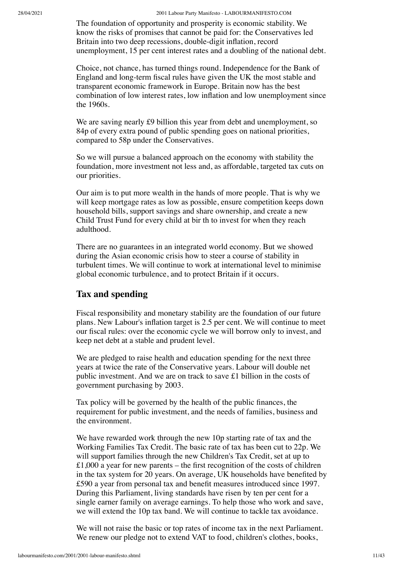The foundation of opportunity and prosperity is economic stability. We know the risks of promises that cannot be paid for: the Conservatives led Britain into two deep recessions, double-digit inflation, record unemployment, 15 per cent interest rates and a doubling of the national debt.

Choice, not chance, has turned things round. Independence for the Bank of England and long-term fiscal rules have given the UK the most stable and transparent economic framework in Europe. Britain now has the best combination of low interest rates, low inflation and low unemployment since the 1960s.

We are saving nearly £9 billion this year from debt and unemployment, so 84p of every extra pound of public spending goes on national priorities, compared to 58p under the Conservatives.

So we will pursue a balanced approach on the economy with stability the foundation, more investment not less and, as affordable, targeted tax cuts on our priorities.

Our aim is to put more wealth in the hands of more people. That is why we will keep mortgage rates as low as possible, ensure competition keeps down household bills, support savings and share ownership, and create a new Child Trust Fund for every child at bir th to invest for when they reach adulthood.

There are no guarantees in an integrated world economy. But we showed during the Asian economic crisis how to steer a course of stability in turbulent times. We will continue to work at international level to minimise global economic turbulence, and to protect Britain if it occurs.

### **Tax and spending**

Fiscal responsibility and monetary stability are the foundation of our future plans. New Labour's inflation target is 2.5 per cent. We will continue to meet our fiscal rules: over the economic cycle we will borrow only to invest, and keep net debt at a stable and prudent level.

We are pledged to raise health and education spending for the next three years at twice the rate of the Conservative years. Labour will double net public investment. And we are on track to save £1 billion in the costs of government purchasing by 2003.

Tax policy will be governed by the health of the public finances, the requirement for public investment, and the needs of families, business and the environment.

We have rewarded work through the new 10p starting rate of tax and the Working Families Tax Credit. The basic rate of tax has been cut to 22p. We will support families through the new Children's Tax Credit, set at up to  $£1,000$  a year for new parents – the first recognition of the costs of children in the tax system for 20 years. On average, UK households have benefited by £590 a year from personal tax and benefit measures introduced since 1997. During this Parliament, living standards have risen by ten per cent for a single earner family on average earnings. To help those who work and save, we will extend the 10p tax band. We will continue to tackle tax avoidance.

We will not raise the basic or top rates of income tax in the next Parliament. We renew our pledge not to extend VAT to food, children's clothes, books,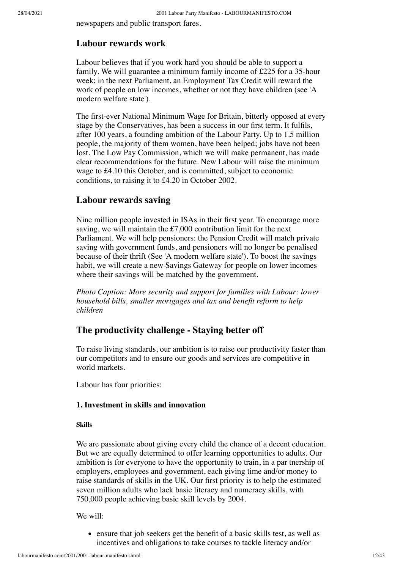newspapers and public transport fares.

### **Labour rewards work**

Labour believes that if you work hard you should be able to support a family. We will guarantee a minimum family income of £225 for a 35-hour week; in the next Parliament, an Employment Tax Credit will reward the work of people on low incomes, whether or not they have children (see 'A modern welfare state').

The first-ever National Minimum Wage for Britain, bitterly opposed at every stage by the Conservatives, has been a success in our first term. It fulfils, after 100 years, a founding ambition of the Labour Party. Up to 1.5 million people, the majority of them women, have been helped; jobs have not been lost. The Low Pay Commission, which we will make permanent, has made clear recommendations for the future. New Labour will raise the minimum wage to £4.10 this October, and is committed, subject to economic conditions, to raising it to £4.20 in October 2002.

### **Labour rewards saving**

Nine million people invested in ISAs in their first year. To encourage more saving, we will maintain the £7,000 contribution limit for the next Parliament. We will help pensioners: the Pension Credit will match private saving with government funds, and pensioners will no longer be penalised because of their thrift (See 'A modern welfare state'). To boost the savings habit, we will create a new Savings Gateway for people on lower incomes where their savings will be matched by the government.

*Photo Caption: More security and support for families with Labour: lower household bills, smaller mortgages and tax and benefit reform to help children*

### **The productivity challenge - Staying better off**

To raise living standards, our ambition is to raise our productivity faster than our competitors and to ensure our goods and services are competitive in world markets.

Labour has four priorities:

#### **1. Investment in skills and innovation**

#### **Skills**

We are passionate about giving every child the chance of a decent education. But we are equally determined to offer learning opportunities to adults. Our ambition is for everyone to have the opportunity to train, in a par tnership of employers, employees and government, each giving time and/or money to raise standards of skills in the UK. Our first priority is to help the estimated seven million adults who lack basic literacy and numeracy skills, with 750,000 people achieving basic skill levels by 2004.

We will:

ensure that job seekers get the benefit of a basic skills test, as well as incentives and obligations to take courses to tackle literacy and/or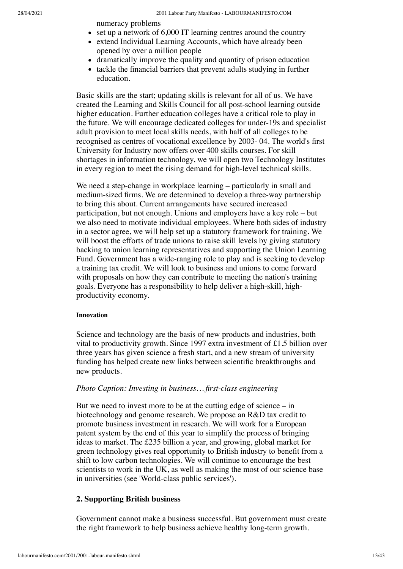numeracy problems

- $\bullet$  set up a network of 6,000 IT learning centres around the country
- extend Individual Learning Accounts, which have already been opened by over a million people
- dramatically improve the quality and quantity of prison education
- tackle the financial barriers that prevent adults studying in further education.

Basic skills are the start; updating skills is relevant for all of us. We have created the Learning and Skills Council for all post-school learning outside higher education. Further education colleges have a critical role to play in the future. We will encourage dedicated colleges for under-19s and specialist adult provision to meet local skills needs, with half of all colleges to be recognised as centres of vocational excellence by 2003- 04. The world's first University for Industry now offers over 400 skills courses. For skill shortages in information technology, we will open two Technology Institutes in every region to meet the rising demand for high-level technical skills.

We need a step-change in workplace learning – particularly in small and medium-sized firms. We are determined to develop a three-way partnership to bring this about. Current arrangements have secured increased participation, but not enough. Unions and employers have a key role – but we also need to motivate individual employees. Where both sides of industry in a sector agree, we will help set up a statutory framework for training. We will boost the efforts of trade unions to raise skill levels by giving statutory backing to union learning representatives and supporting the Union Learning Fund. Government has a wide-ranging role to play and is seeking to develop a training tax credit. We will look to business and unions to come forward with proposals on how they can contribute to meeting the nation's training goals. Everyone has a responsibility to help deliver a high-skill, highproductivity economy.

#### **Innovation**

Science and technology are the basis of new products and industries, both vital to productivity growth. Since 1997 extra investment of £1.5 billion over three years has given science a fresh start, and a new stream of university funding has helped create new links between scientific breakthroughs and new products.

#### *Photo Caption: Investing in business… first-class engineering*

But we need to invest more to be at the cutting edge of science – in biotechnology and genome research. We propose an R&D tax credit to promote business investment in research. We will work for a European patent system by the end of this year to simplify the process of bringing ideas to market. The £235 billion a year, and growing, global market for green technology gives real opportunity to British industry to benefit from a shift to low carbon technologies. We will continue to encourage the best scientists to work in the UK, as well as making the most of our science base in universities (see 'World-class public services').

#### **2. Supporting British business**

Government cannot make a business successful. But government must create the right framework to help business achieve healthy long-term growth.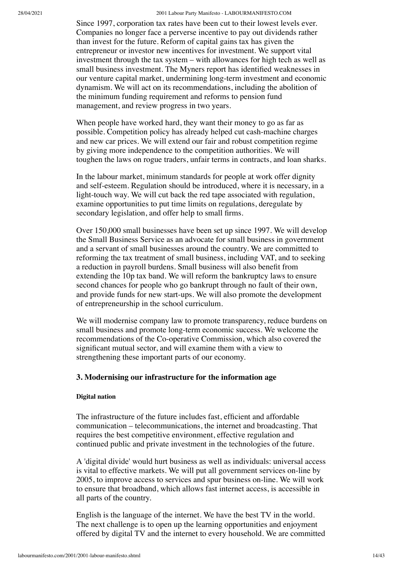Since 1997, corporation tax rates have been cut to their lowest levels ever. Companies no longer face a perverse incentive to pay out dividends rather than invest for the future. Reform of capital gains tax has given the entrepreneur or investor new incentives for investment. We support vital investment through the tax system – with allowances for high tech as well as small business investment. The Myners report has identified weaknesses in our venture capital market, undermining long-term investment and economic dynamism. We will act on its recommendations, including the abolition of the minimum funding requirement and reforms to pension fund management, and review progress in two years.

When people have worked hard, they want their money to go as far as possible. Competition policy has already helped cut cash-machine charges and new car prices. We will extend our fair and robust competition regime by giving more independence to the competition authorities. We will toughen the laws on rogue traders, unfair terms in contracts, and loan sharks.

In the labour market, minimum standards for people at work offer dignity and self-esteem. Regulation should be introduced, where it is necessary, in a light-touch way. We will cut back the red tape associated with regulation, examine opportunities to put time limits on regulations, deregulate by secondary legislation, and offer help to small firms.

Over 150,000 small businesses have been set up since 1997. We will develop the Small Business Service as an advocate for small business in government and a servant of small businesses around the country. We are committed to reforming the tax treatment of small business, including VAT, and to seeking a reduction in payroll burdens. Small business will also benefit from extending the 10p tax band. We will reform the bankruptcy laws to ensure second chances for people who go bankrupt through no fault of their own, and provide funds for new start-ups. We will also promote the development of entrepreneurship in the school curriculum.

We will modernise company law to promote transparency, reduce burdens on small business and promote long-term economic success. We welcome the recommendations of the Co-operative Commission, which also covered the significant mutual sector, and will examine them with a view to strengthening these important parts of our economy.

### **3. Modernising our infrastructure for the information age**

#### **Digital nation**

The infrastructure of the future includes fast, efficient and affordable communication – telecommunications, the internet and broadcasting. That requires the best competitive environment, effective regulation and continued public and private investment in the technologies of the future.

A 'digital divide' would hurt business as well as individuals: universal access is vital to effective markets. We will put all government services on-line by 2005, to improve access to services and spur business on-line. We will work to ensure that broadband, which allows fast internet access, is accessible in all parts of the country.

English is the language of the internet. We have the best TV in the world. The next challenge is to open up the learning opportunities and enjoyment offered by digital TV and the internet to every household. We are committed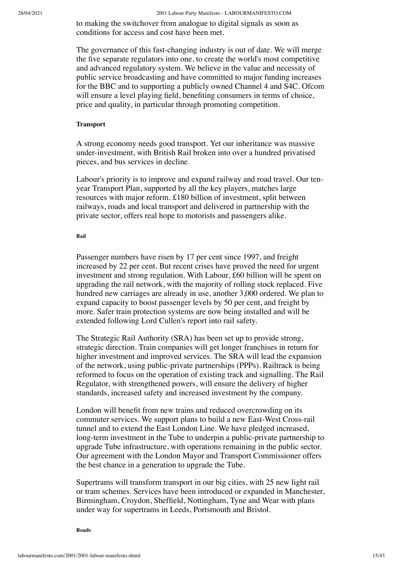to making the switchover from analogue to digital signals as soon as conditions for access and cost have been met.

The governance of this fast-changing industry is out of date. We will merge the five separate regulators into one, to create the world's most competitive and advanced regulatory system. We believe in the value and necessity of public service broadcasting and have committed to major funding increases for the BBC and to supporting a publicly owned Channel 4 and S4C. Ofcom will ensure a level playing field, benefiting consumers in terms of choice, price and quality, in particular through promoting competition.

#### **Transport**

A strong economy needs good transport. Yet our inheritance was massive under-investment, with British Rail broken into over a hundred privatised pieces, and bus services in decline.

Labour's priority is to improve and expand railway and road travel. Our tenyear Transport Plan, supported by all the key players, matches large resources with major reform. £180 billion of investment, split between railways, roads and local transport and delivered in partnership with the private sector, offers real hope to motorists and passengers alike.

#### **Rail**

Passenger numbers have risen by 17 per cent since 1997, and freight increased by 22 per cent. But recent crises have proved the need for urgent investment and strong regulation. With Labour, £60 billion will be spent on upgrading the rail network, with the majority of rolling stock replaced. Five hundred new carriages are already in use, another 3,000 ordered. We plan to expand capacity to boost passenger levels by 50 per cent, and freight by more. Safer train protection systems are now being installed and will be extended following Lord Cullen's report into rail safety.

The Strategic Rail Authority (SRA) has been set up to provide strong, strategic direction. Train companies will get longer franchises in return for higher investment and improved services. The SRA will lead the expansion of the network, using public-private partnerships (PPPs). Railtrack is being reformed to focus on the operation of existing track and signalling. The Rail Regulator, with strengthened powers, will ensure the delivery of higher standards, increased safety and increased investment by the company.

London will benefit from new trains and reduced overcrowding on its commuter services. We support plans to build a new East-West Cross-rail tunnel and to extend the East London Line. We have pledged increased, long-term investment in the Tube to underpin a public-private partnership to upgrade Tube infrastructure, with operations remaining in the public sector. Our agreement with the London Mayor and Transport Commissioner offers the best chance in a generation to upgrade the Tube.

Supertrams will transform transport in our big cities, with 25 new light rail or tram schemes. Services have been introduced or expanded in Manchester, Birmingham, Croydon, Sheffield, Nottingham, Tyne and Wear with plans under way for supertrams in Leeds, Portsmouth and Bristol.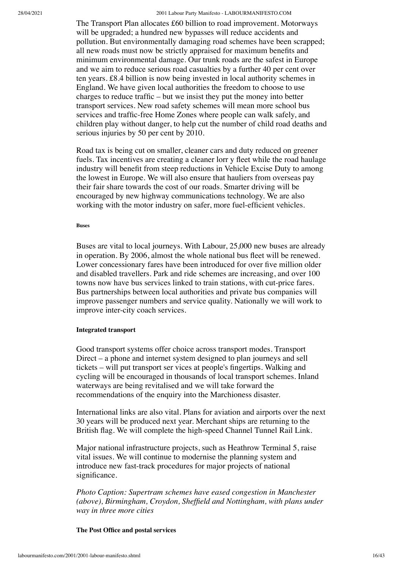The Transport Plan allocates £60 billion to road improvement. Motorways will be upgraded; a hundred new bypasses will reduce accidents and pollution. But environmentally damaging road schemes have been scrapped; all new roads must now be strictly appraised for maximum benefits and minimum environmental damage. Our trunk roads are the safest in Europe and we aim to reduce serious road casualties by a further 40 per cent over ten years. £8.4 billion is now being invested in local authority schemes in England. We have given local authorities the freedom to choose to use charges to reduce traffic – but we insist they put the money into better transport services. New road safety schemes will mean more school bus services and traffic-free Home Zones where people can walk safely, and children play without danger, to help cut the number of child road deaths and serious injuries by 50 per cent by 2010.

Road tax is being cut on smaller, cleaner cars and duty reduced on greener fuels. Tax incentives are creating a cleaner lorr y fleet while the road haulage industry will benefit from steep reductions in Vehicle Excise Duty to among the lowest in Europe. We will also ensure that hauliers from overseas pay their fair share towards the cost of our roads. Smarter driving will be encouraged by new highway communications technology. We are also working with the motor industry on safer, more fuel-efficient vehicles.

#### **Buses**

Buses are vital to local journeys. With Labour, 25,000 new buses are already in operation. By 2006, almost the whole national bus fleet will be renewed. Lower concessionary fares have been introduced for over five million older and disabled travellers. Park and ride schemes are increasing, and over 100 towns now have bus services linked to train stations, with cut-price fares. Bus partnerships between local authorities and private bus companies will improve passenger numbers and service quality. Nationally we will work to improve inter-city coach services.

#### **Integrated transport**

Good transport systems offer choice across transport modes. Transport Direct – a phone and internet system designed to plan journeys and sell tickets – will put transport ser vices at people's fingertips. Walking and cycling will be encouraged in thousands of local transport schemes. Inland waterways are being revitalised and we will take forward the recommendations of the enquiry into the Marchioness disaster.

International links are also vital. Plans for aviation and airports over the next 30 years will be produced next year. Merchant ships are returning to the British flag. We will complete the high-speed Channel Tunnel Rail Link.

Major national infrastructure projects, such as Heathrow Terminal 5, raise vital issues. We will continue to modernise the planning system and introduce new fast-track procedures for major projects of national significance.

*Photo Caption: Supertram schemes have eased congestion in Manchester (above), Birmingham, Croydon, Sheffield and Nottingham, with plans under way in three more cities*

#### **The Post Office and postal services**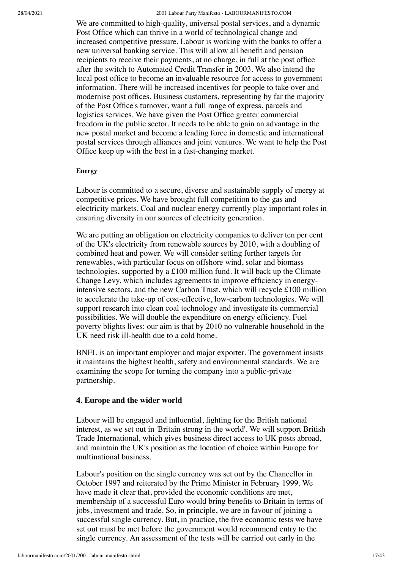We are committed to high-quality, universal postal services, and a dynamic Post Office which can thrive in a world of technological change and increased competitive pressure. Labour is working with the banks to offer a new universal banking service. This will allow all benefit and pension recipients to receive their payments, at no charge, in full at the post office after the switch to Automated Credit Transfer in 2003. We also intend the local post office to become an invaluable resource for access to government information. There will be increased incentives for people to take over and modernise post offices. Business customers, representing by far the majority of the Post Office's turnover, want a full range of express, parcels and logistics services. We have given the Post Office greater commercial freedom in the public sector. It needs to be able to gain an advantage in the new postal market and become a leading force in domestic and international postal services through alliances and joint ventures. We want to help the Post Office keep up with the best in a fast-changing market.

#### **Energy**

Labour is committed to a secure, diverse and sustainable supply of energy at competitive prices. We have brought full competition to the gas and electricity markets. Coal and nuclear energy currently play important roles in ensuring diversity in our sources of electricity generation.

We are putting an obligation on electricity companies to deliver ten per cent of the UK's electricity from renewable sources by 2010, with a doubling of combined heat and power. We will consider setting further targets for renewables, with particular focus on offshore wind, solar and biomass technologies, supported by a £100 million fund. It will back up the Climate Change Levy, which includes agreements to improve efficiency in energyintensive sectors, and the new Carbon Trust, which will recycle £100 million to accelerate the take-up of cost-effective, low-carbon technologies. We will support research into clean coal technology and investigate its commercial possibilities. We will double the expenditure on energy efficiency. Fuel poverty blights lives: our aim is that by 2010 no vulnerable household in the UK need risk ill-health due to a cold home.

BNFL is an important employer and major exporter. The government insists it maintains the highest health, safety and environmental standards. We are examining the scope for turning the company into a public-private partnership.

#### **4. Europe and the wider world**

Labour will be engaged and influential, fighting for the British national interest, as we set out in 'Britain strong in the world'. We will support British Trade International, which gives business direct access to UK posts abroad, and maintain the UK's position as the location of choice within Europe for multinational business.

Labour's position on the single currency was set out by the Chancellor in October 1997 and reiterated by the Prime Minister in February 1999. We have made it clear that, provided the economic conditions are met, membership of a successful Euro would bring benefits to Britain in terms of jobs, investment and trade. So, in principle, we are in favour of joining a successful single currency. But, in practice, the five economic tests we have set out must be met before the government would recommend entry to the single currency. An assessment of the tests will be carried out early in the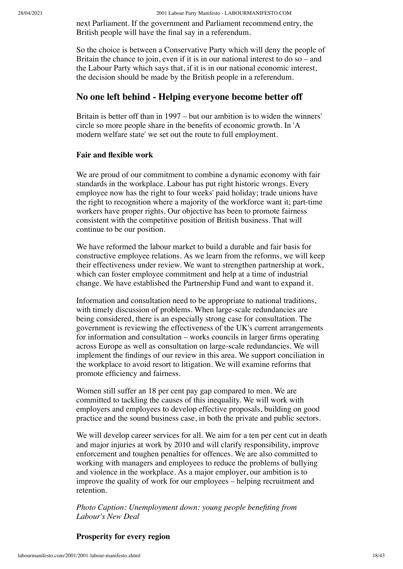next Parliament. If the government and Parliament recommend entry, the British people will have the final say in a referendum.

So the choice is between a Conservative Party which will deny the people of Britain the chance to join, even if it is in our national interest to do so – and the Labour Party which says that, if it is in our national economic interest, the decision should be made by the British people in a referendum.

### **No one left behind - Helping everyone become better off**

Britain is better off than in 1997 – but our ambition is to widen the winners' circle so more people share in the benefits of economic growth. In 'A modern welfare state' we set out the route to full employment.

### **Fair and flexible work**

We are proud of our commitment to combine a dynamic economy with fair standards in the workplace. Labour has put right historic wrongs. Every employee now has the right to four weeks' paid holiday; trade unions have the right to recognition where a majority of the workforce want it; part-time workers have proper rights. Our objective has been to promote fairness consistent with the competitive position of British business. That will continue to be our position.

We have reformed the labour market to build a durable and fair basis for constructive employee relations. As we learn from the reforms, we will keep their effectiveness under review. We want to strengthen partnership at work, which can foster employee commitment and help at a time of industrial change. We have established the Partnership Fund and want to expand it.

Information and consultation need to be appropriate to national traditions, with timely discussion of problems. When large-scale redundancies are being considered, there is an especially strong case for consultation. The government is reviewing the effectiveness of the UK's current arrangements for information and consultation – works councils in larger firms operating across Europe as well as consultation on large-scale redundancies. We will implement the findings of our review in this area. We support conciliation in the workplace to avoid resort to litigation. We will examine reforms that promote efficiency and fairness.

Women still suffer an 18 per cent pay gap compared to men. We are committed to tackling the causes of this inequality. We will work with employers and employees to develop effective proposals, building on good practice and the sound business case, in both the private and public sectors.

We will develop career services for all. We aim for a ten per cent cut in death and major injuries at work by 2010 and will clarify responsibility, improve enforcement and toughen penalties for offences. We are also committed to working with managers and employees to reduce the problems of bullying and violence in the workplace. As a major employer, our ambition is to improve the quality of work for our employees – helping recruitment and retention.

*Photo Caption: Unemployment down: young people benefiting from Labour's New Deal*

### **Prosperity for every region**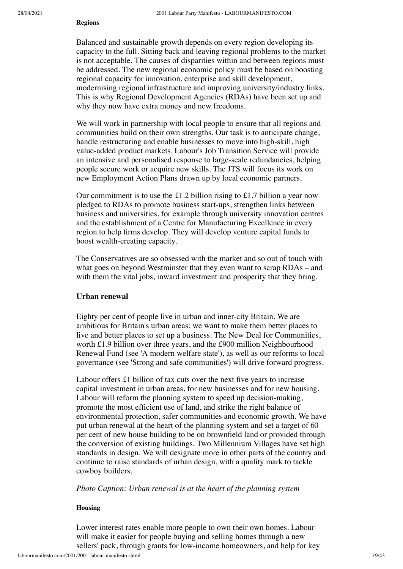#### **Regions**

Balanced and sustainable growth depends on every region developing its capacity to the full. Sitting back and leaving regional problems to the market is not acceptable. The causes of disparities within and between regions must be addressed. The new regional economic policy must be based on boosting regional capacity for innovation, enterprise and skill development, modernising regional infrastructure and improving university/industry links. This is why Regional Development Agencies (RDAs) have been set up and why they now have extra money and new freedoms.

We will work in partnership with local people to ensure that all regions and communities build on their own strengths. Our task is to anticipate change, handle restructuring and enable businesses to move into high-skill, high value-added product markets. Labour's Job Transition Service will provide an intensive and personalised response to large-scale redundancies, helping people secure work or acquire new skills. The JTS will focus its work on new Employment Action Plans drawn up by local economic partners.

Our commitment is to use the £1.2 billion rising to £1.7 billion a year now pledged to RDAs to promote business start-ups, strengthen links between business and universities, for example through university innovation centres and the establishment of a Centre for Manufacturing Excellence in every region to help firms develop. They will develop venture capital funds to boost wealth-creating capacity.

The Conservatives are so obsessed with the market and so out of touch with what goes on beyond Westminster that they even want to scrap RDAs – and with them the vital jobs, inward investment and prosperity that they bring.

### **Urban renewal**

Eighty per cent of people live in urban and inner-city Britain. We are ambitious for Britain's urban areas: we want to make them better places to live and better places to set up a business. The New Deal for Communities, worth £1.9 billion over three years, and the £900 million Neighbourhood Renewal Fund (see 'A modern welfare state'), as well as our reforms to local governance (see 'Strong and safe communities') will drive forward progress.

Labour offers £1 billion of tax cuts over the next five years to increase capital investment in urban areas, for new businesses and for new housing. Labour will reform the planning system to speed up decision-making, promote the most efficient use of land, and strike the right balance of environmental protection, safer communities and economic growth. We have put urban renewal at the heart of the planning system and set a target of 60 per cent of new house building to be on brownfield land or provided through the conversion of existing buildings. Two Millennium Villages have set high standards in design. We will designate more in other parts of the country and continue to raise standards of urban design, with a quality mark to tackle cowboy builders.

#### *Photo Caption: Urban renewal is at the heart of the planning system*

#### **Housing**

Lower interest rates enable more people to own their own homes. Labour will make it easier for people buying and selling homes through a new sellers' pack, through grants for low-income homeowners, and help for key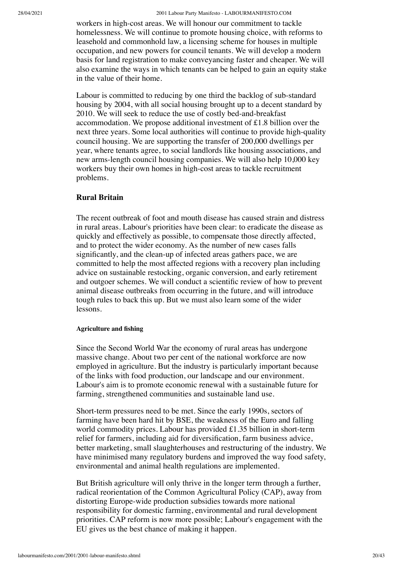workers in high-cost areas. We will honour our commitment to tackle homelessness. We will continue to promote housing choice, with reforms to leasehold and commonhold law, a licensing scheme for houses in multiple occupation, and new powers for council tenants. We will develop a modern basis for land registration to make conveyancing faster and cheaper. We will also examine the ways in which tenants can be helped to gain an equity stake in the value of their home.

Labour is committed to reducing by one third the backlog of sub-standard housing by 2004, with all social housing brought up to a decent standard by 2010. We will seek to reduce the use of costly bed-and-breakfast accommodation. We propose additional investment of £1.8 billion over the next three years. Some local authorities will continue to provide high-quality council housing. We are supporting the transfer of 200,000 dwellings per year, where tenants agree, to social landlords like housing associations, and new arms-length council housing companies. We will also help 10,000 key workers buy their own homes in high-cost areas to tackle recruitment problems.

#### **Rural Britain**

The recent outbreak of foot and mouth disease has caused strain and distress in rural areas. Labour's priorities have been clear: to eradicate the disease as quickly and effectively as possible, to compensate those directly affected, and to protect the wider economy. As the number of new cases falls significantly, and the clean-up of infected areas gathers pace, we are committed to help the most affected regions with a recovery plan including advice on sustainable restocking, organic conversion, and early retirement and outgoer schemes. We will conduct a scientific review of how to prevent animal disease outbreaks from occurring in the future, and will introduce tough rules to back this up. But we must also learn some of the wider lessons.

#### **Agriculture and fishing**

Since the Second World War the economy of rural areas has undergone massive change. About two per cent of the national workforce are now employed in agriculture. But the industry is particularly important because of the links with food production, our landscape and our environment. Labour's aim is to promote economic renewal with a sustainable future for farming, strengthened communities and sustainable land use.

Short-term pressures need to be met. Since the early 1990s, sectors of farming have been hard hit by BSE, the weakness of the Euro and falling world commodity prices. Labour has provided £1.35 billion in short-term relief for farmers, including aid for diversification, farm business advice, better marketing, small slaughterhouses and restructuring of the industry. We have minimised many regulatory burdens and improved the way food safety, environmental and animal health regulations are implemented.

But British agriculture will only thrive in the longer term through a further, radical reorientation of the Common Agricultural Policy (CAP), away from distorting Europe-wide production subsidies towards more national responsibility for domestic farming, environmental and rural development priorities. CAP reform is now more possible; Labour's engagement with the EU gives us the best chance of making it happen.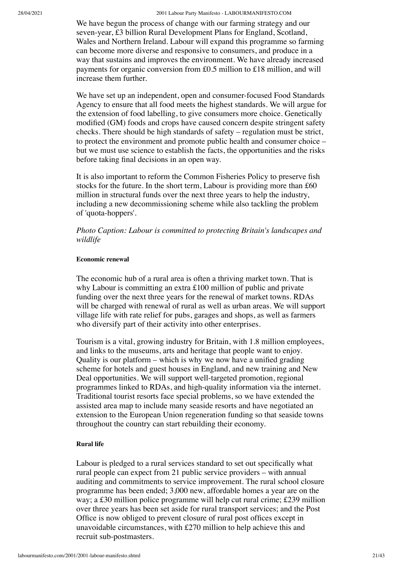We have begun the process of change with our farming strategy and our seven-year, £3 billion Rural Development Plans for England, Scotland, Wales and Northern Ireland. Labour will expand this programme so farming can become more diverse and responsive to consumers, and produce in a way that sustains and improves the environment. We have already increased payments for organic conversion from £0.5 million to £18 million, and will increase them further.

We have set up an independent, open and consumer-focused Food Standards Agency to ensure that all food meets the highest standards. We will argue for the extension of food labelling, to give consumers more choice. Genetically modified (GM) foods and crops have caused concern despite stringent safety checks. There should be high standards of safety – regulation must be strict, to protect the environment and promote public health and consumer choice – but we must use science to establish the facts, the opportunities and the risks before taking final decisions in an open way.

It is also important to reform the Common Fisheries Policy to preserve fish stocks for the future. In the short term, Labour is providing more than £60 million in structural funds over the next three years to help the industry, including a new decommissioning scheme while also tackling the problem of 'quota-hoppers'.

#### *Photo Caption: Labour is committed to protecting Britain's landscapes and wildlife*

#### **Economic renewal**

The economic hub of a rural area is often a thriving market town. That is why Labour is committing an extra £100 million of public and private funding over the next three years for the renewal of market towns. RDAs will be charged with renewal of rural as well as urban areas. We will support village life with rate relief for pubs, garages and shops, as well as farmers who diversify part of their activity into other enterprises.

Tourism is a vital, growing industry for Britain, with 1.8 million employees, and links to the museums, arts and heritage that people want to enjoy. Quality is our platform – which is why we now have a unified grading scheme for hotels and guest houses in England, and new training and New Deal opportunities. We will support well-targeted promotion, regional programmes linked to RDAs, and high-quality information via the internet. Traditional tourist resorts face special problems, so we have extended the assisted area map to include many seaside resorts and have negotiated an extension to the European Union regeneration funding so that seaside towns throughout the country can start rebuilding their economy.

#### **Rural life**

Labour is pledged to a rural services standard to set out specifically what rural people can expect from 21 public service providers – with annual auditing and commitments to service improvement. The rural school closure programme has been ended; 3,000 new, affordable homes a year are on the way; a £30 million police programme will help cut rural crime; £239 million over three years has been set aside for rural transport services; and the Post Office is now obliged to prevent closure of rural post offices except in unavoidable circumstances, with £270 million to help achieve this and recruit sub-postmasters.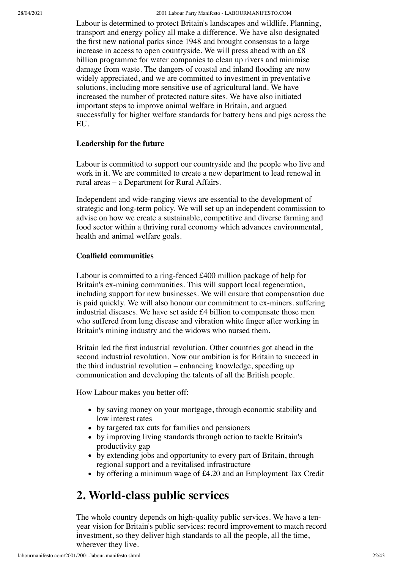Labour is determined to protect Britain's landscapes and wildlife. Planning, transport and energy policy all make a difference. We have also designated the first new national parks since 1948 and brought consensus to a large increase in access to open countryside. We will press ahead with an £8 billion programme for water companies to clean up rivers and minimise damage from waste. The dangers of coastal and inland flooding are now widely appreciated, and we are committed to investment in preventative solutions, including more sensitive use of agricultural land. We have increased the number of protected nature sites. We have also initiated important steps to improve animal welfare in Britain, and argued successfully for higher welfare standards for battery hens and pigs across the EU.

### **Leadership for the future**

Labour is committed to support our countryside and the people who live and work in it. We are committed to create a new department to lead renewal in rural areas – a Department for Rural Affairs.

Independent and wide-ranging views are essential to the development of strategic and long-term policy. We will set up an independent commission to advise on how we create a sustainable, competitive and diverse farming and food sector within a thriving rural economy which advances environmental, health and animal welfare goals.

### **Coalfield communities**

Labour is committed to a ring-fenced £400 million package of help for Britain's ex-mining communities. This will support local regeneration, including support for new businesses. We will ensure that compensation due is paid quickly. We will also honour our commitment to ex-miners. suffering industrial diseases. We have set aside £4 billion to compensate those men who suffered from lung disease and vibration white finger after working in Britain's mining industry and the widows who nursed them.

Britain led the first industrial revolution. Other countries got ahead in the second industrial revolution. Now our ambition is for Britain to succeed in the third industrial revolution – enhancing knowledge, speeding up communication and developing the talents of all the British people.

How Labour makes you better off:

- by saving money on your mortgage, through economic stability and low interest rates
- by targeted tax cuts for families and pensioners
- by improving living standards through action to tackle Britain's productivity gap
- by extending jobs and opportunity to every part of Britain, through regional support and a revitalised infrastructure
- by offering a minimum wage of £4.20 and an Employment Tax Credit

## **2. World-class public services**

The whole country depends on high-quality public services. We have a tenyear vision for Britain's public services: record improvement to match record investment, so they deliver high standards to all the people, all the time, wherever they live.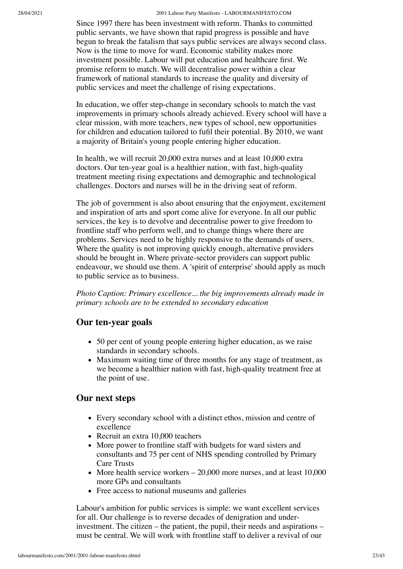Since 1997 there has been investment with reform. Thanks to committed public servants, we have shown that rapid progress is possible and have begun to break the fatalism that says public services are always second class. Now is the time to move for ward. Economic stability makes more investment possible. Labour will put education and healthcare first. We promise reform to match. We will decentralise power within a clear framework of national standards to increase the quality and diversity of public services and meet the challenge of rising expectations.

In education, we offer step-change in secondary schools to match the vast improvements in primary schools already achieved. Every school will have a clear mission, with more teachers, new types of school, new opportunities for children and education tailored to fufil their potential. By 2010, we want a majority of Britain's young people entering higher education.

In health, we will recruit 20,000 extra nurses and at least 10,000 extra doctors. Our ten-year goal is a healthier nation, with fast, high-quality treatment meeting rising expectations and demographic and technological challenges. Doctors and nurses will be in the driving seat of reform.

The job of government is also about ensuring that the enjoyment, excitement and inspiration of arts and sport come alive for everyone. In all our public services, the key is to devolve and decentralise power to give freedom to frontline staff who perform well, and to change things where there are problems. Services need to be highly responsive to the demands of users. Where the quality is not improving quickly enough, alternative providers should be brought in. Where private-sector providers can support public endeavour, we should use them. A 'spirit of enterprise' should apply as much to public service as to business.

*Photo Caption: Primary excellence... the big improvements already made in primary schools are to be extended to secondary education*

### **Our ten-year goals**

- 50 per cent of young people entering higher education, as we raise standards in secondary schools.
- Maximum waiting time of three months for any stage of treatment, as we become a healthier nation with fast, high-quality treatment free at the point of use.

### **Our next steps**

- Every secondary school with a distinct ethos, mission and centre of excellence
- Recruit an extra 10,000 teachers
- More power to frontline staff with budgets for ward sisters and consultants and 75 per cent of NHS spending controlled by Primary Care Trusts
- More health service workers  $-20,000$  more nurses, and at least  $10,000$ more GPs and consultants
- Free access to national museums and galleries

Labour's ambition for public services is simple: we want excellent services for all. Our challenge is to reverse decades of denigration and underinvestment. The citizen – the patient, the pupil, their needs and aspirations – must be central. We will work with frontline staff to deliver a revival of our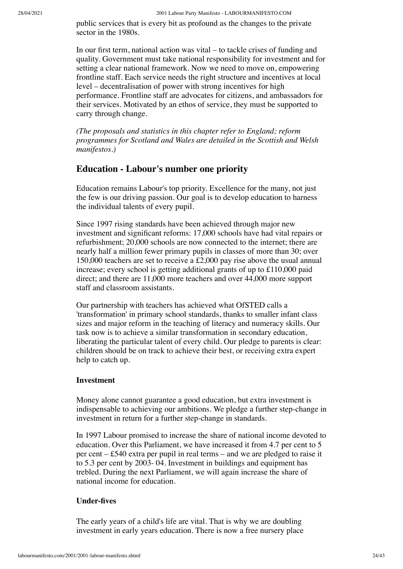public services that is every bit as profound as the changes to the private sector in the 1980s.

In our first term, national action was vital – to tackle crises of funding and quality. Government must take national responsibility for investment and for setting a clear national framework. Now we need to move on, empowering frontline staff. Each service needs the right structure and incentives at local level – decentralisation of power with strong incentives for high performance. Frontline staff are advocates for citizens, and ambassadors for their services. Motivated by an ethos of service, they must be supported to carry through change.

*(The proposals and statistics in this chapter refer to England; reform programmes for Scotland and Wales are detailed in the Scottish and Welsh manifestos.)*

### **Education - Labour's number one priority**

Education remains Labour's top priority. Excellence for the many, not just the few is our driving passion. Our goal is to develop education to harness the individual talents of every pupil.

Since 1997 rising standards have been achieved through major new investment and significant reforms: 17,000 schools have had vital repairs or refurbishment; 20,000 schools are now connected to the internet; there are nearly half a million fewer primary pupils in classes of more than 30; over 150,000 teachers are set to receive a £2,000 pay rise above the usual annual increase; every school is getting additional grants of up to £110,000 paid direct; and there are 11,000 more teachers and over 44,000 more support staff and classroom assistants.

Our partnership with teachers has achieved what OfSTED calls a 'transformation' in primary school standards, thanks to smaller infant class sizes and major reform in the teaching of literacy and numeracy skills. Our task now is to achieve a similar transformation in secondary education, liberating the particular talent of every child. Our pledge to parents is clear: children should be on track to achieve their best, or receiving extra expert help to catch up.

#### **Investment**

Money alone cannot guarantee a good education, but extra investment is indispensable to achieving our ambitions. We pledge a further step-change in investment in return for a further step-change in standards.

In 1997 Labour promised to increase the share of national income devoted to education. Over this Parliament, we have increased it from 4.7 per cent to 5 per cent – £540 extra per pupil in real terms – and we are pledged to raise it to 5.3 per cent by 2003- 04. Investment in buildings and equipment has trebled. During the next Parliament, we will again increase the share of national income for education.

### **Under-fives**

The early years of a child's life are vital. That is why we are doubling investment in early years education. There is now a free nursery place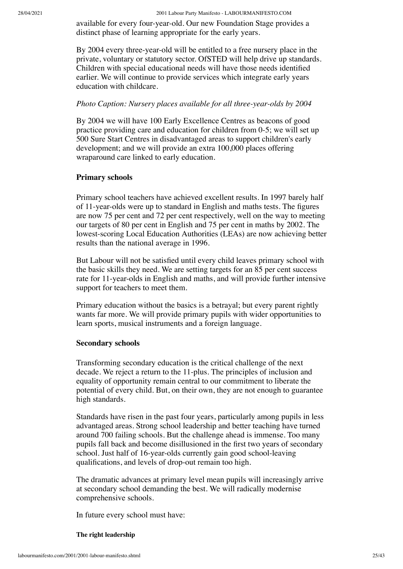available for every four-year-old. Our new Foundation Stage provides a distinct phase of learning appropriate for the early years.

By 2004 every three-year-old will be entitled to a free nursery place in the private, voluntary or statutory sector. OfSTED will help drive up standards. Children with special educational needs will have those needs identified earlier. We will continue to provide services which integrate early years education with childcare.

### *Photo Caption: Nursery places available for all three-year-olds by 2004*

By 2004 we will have 100 Early Excellence Centres as beacons of good practice providing care and education for children from 0-5; we will set up 500 Sure Start Centres in disadvantaged areas to support children's early development; and we will provide an extra 100,000 places offering wraparound care linked to early education.

### **Primary schools**

Primary school teachers have achieved excellent results. In 1997 barely half of 11-year-olds were up to standard in English and maths tests. The figures are now 75 per cent and 72 per cent respectively, well on the way to meeting our targets of 80 per cent in English and 75 per cent in maths by 2002. The lowest-scoring Local Education Authorities (LEAs) are now achieving better results than the national average in 1996.

But Labour will not be satisfied until every child leaves primary school with the basic skills they need. We are setting targets for an 85 per cent success rate for 11-year-olds in English and maths, and will provide further intensive support for teachers to meet them.

Primary education without the basics is a betrayal; but every parent rightly wants far more. We will provide primary pupils with wider opportunities to learn sports, musical instruments and a foreign language.

#### **Secondary schools**

Transforming secondary education is the critical challenge of the next decade. We reject a return to the 11-plus. The principles of inclusion and equality of opportunity remain central to our commitment to liberate the potential of every child. But, on their own, they are not enough to guarantee high standards.

Standards have risen in the past four years, particularly among pupils in less advantaged areas. Strong school leadership and better teaching have turned around 700 failing schools. But the challenge ahead is immense. Too many pupils fall back and become disillusioned in the first two years of secondary school. Just half of 16-year-olds currently gain good school-leaving qualifications, and levels of drop-out remain too high.

The dramatic advances at primary level mean pupils will increasingly arrive at secondary school demanding the best. We will radically modernise comprehensive schools.

In future every school must have:

**The right leadership**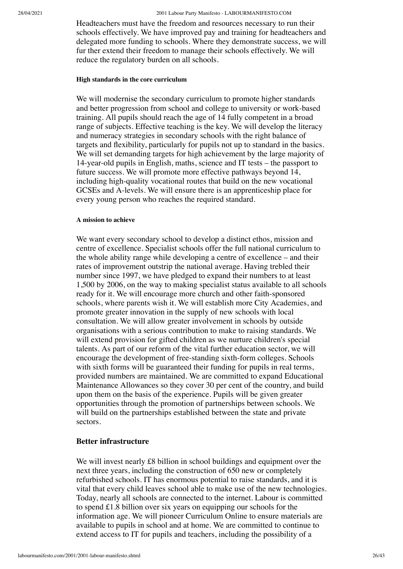Headteachers must have the freedom and resources necessary to run their schools effectively. We have improved pay and training for headteachers and delegated more funding to schools. Where they demonstrate success, we will fur ther extend their freedom to manage their schools effectively. We will reduce the regulatory burden on all schools.

#### **High standards in the core curriculum**

We will modernise the secondary curriculum to promote higher standards and better progression from school and college to university or work-based training. All pupils should reach the age of 14 fully competent in a broad range of subjects. Effective teaching is the key. We will develop the literacy and numeracy strategies in secondary schools with the right balance of targets and flexibility, particularly for pupils not up to standard in the basics. We will set demanding targets for high achievement by the large majority of 14-year-old pupils in English, maths, science and IT tests – the passport to future success. We will promote more effective pathways beyond 14, including high-quality vocational routes that build on the new vocational GCSEs and A-levels. We will ensure there is an apprenticeship place for every young person who reaches the required standard.

#### **A mission to achieve**

We want every secondary school to develop a distinct ethos, mission and centre of excellence. Specialist schools offer the full national curriculum to the whole ability range while developing a centre of excellence – and their rates of improvement outstrip the national average. Having trebled their number since 1997, we have pledged to expand their numbers to at least 1,500 by 2006, on the way to making specialist status available to all schools ready for it. We will encourage more church and other faith-sponsored schools, where parents wish it. We will establish more City Academies, and promote greater innovation in the supply of new schools with local consultation. We will allow greater involvement in schools by outside organisations with a serious contribution to make to raising standards. We will extend provision for gifted children as we nurture children's special talents. As part of our reform of the vital further education sector, we will encourage the development of free-standing sixth-form colleges. Schools with sixth forms will be guaranteed their funding for pupils in real terms, provided numbers are maintained. We are committed to expand Educational Maintenance Allowances so they cover 30 per cent of the country, and build upon them on the basis of the experience. Pupils will be given greater opportunities through the promotion of partnerships between schools. We will build on the partnerships established between the state and private sectors.

#### **Better infrastructure**

We will invest nearly £8 billion in school buildings and equipment over the next three years, including the construction of 650 new or completely refurbished schools. IT has enormous potential to raise standards, and it is vital that every child leaves school able to make use of the new technologies. Today, nearly all schools are connected to the internet. Labour is committed to spend £1.8 billion over six years on equipping our schools for the information age. We will pioneer Curriculum Online to ensure materials are available to pupils in school and at home. We are committed to continue to extend access to IT for pupils and teachers, including the possibility of a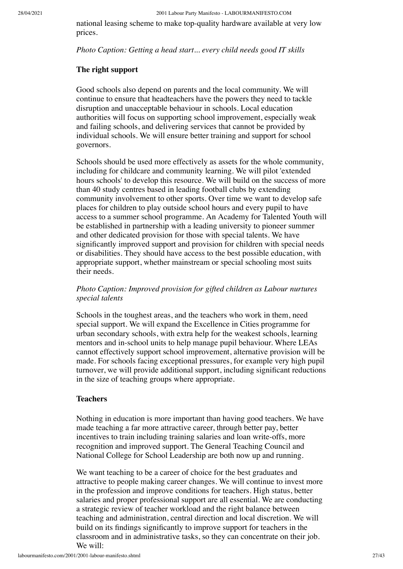national leasing scheme to make top-quality hardware available at very low prices.

*Photo Caption: Getting a head start... every child needs good IT skills*

#### **The right support**

Good schools also depend on parents and the local community. We will continue to ensure that headteachers have the powers they need to tackle disruption and unacceptable behaviour in schools. Local education authorities will focus on supporting school improvement, especially weak and failing schools, and delivering services that cannot be provided by individual schools. We will ensure better training and support for school governors.

Schools should be used more effectively as assets for the whole community, including for childcare and community learning. We will pilot 'extended hours schools' to develop this resource. We will build on the success of more than 40 study centres based in leading football clubs by extending community involvement to other sports. Over time we want to develop safe places for children to play outside school hours and every pupil to have access to a summer school programme. An Academy for Talented Youth will be established in partnership with a leading university to pioneer summer and other dedicated provision for those with special talents. We have significantly improved support and provision for children with special needs or disabilities. They should have access to the best possible education, with appropriate support, whether mainstream or special schooling most suits their needs.

### *Photo Caption: Improved provision for gifted children as Labour nurtures special talents*

Schools in the toughest areas, and the teachers who work in them, need special support. We will expand the Excellence in Cities programme for urban secondary schools, with extra help for the weakest schools, learning mentors and in-school units to help manage pupil behaviour. Where LEAs cannot effectively support school improvement, alternative provision will be made. For schools facing exceptional pressures, for example very high pupil turnover, we will provide additional support, including significant reductions in the size of teaching groups where appropriate.

#### **Teachers**

Nothing in education is more important than having good teachers. We have made teaching a far more attractive career, through better pay, better incentives to train including training salaries and loan write-offs, more recognition and improved support. The General Teaching Council and National College for School Leadership are both now up and running.

We want teaching to be a career of choice for the best graduates and attractive to people making career changes. We will continue to invest more in the profession and improve conditions for teachers. High status, better salaries and proper professional support are all essential. We are conducting a strategic review of teacher workload and the right balance between teaching and administration, central direction and local discretion. We will build on its findings significantly to improve support for teachers in the classroom and in administrative tasks, so they can concentrate on their job. We will: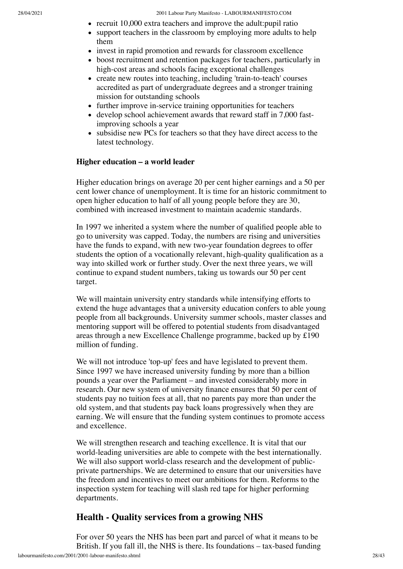- recruit  $10,000$  extra teachers and improve the adult: pupil ratio
- support teachers in the classroom by employing more adults to help them
- invest in rapid promotion and rewards for classroom excellence
- boost recruitment and retention packages for teachers, particularly in high-cost areas and schools facing exceptional challenges
- create new routes into teaching, including 'train-to-teach' courses accredited as part of undergraduate degrees and a stronger training mission for outstanding schools
- further improve in-service training opportunities for teachers
- develop school achievement awards that reward staff in 7,000 fastimproving schools a year
- subsidise new PCs for teachers so that they have direct access to the latest technology.

### **Higher education – a world leader**

Higher education brings on average 20 per cent higher earnings and a 50 per cent lower chance of unemployment. It is time for an historic commitment to open higher education to half of all young people before they are 30, combined with increased investment to maintain academic standards.

In 1997 we inherited a system where the number of qualified people able to go to university was capped. Today, the numbers are rising and universities have the funds to expand, with new two-year foundation degrees to offer students the option of a vocationally relevant, high-quality qualification as a way into skilled work or further study. Over the next three years, we will continue to expand student numbers, taking us towards our 50 per cent target.

We will maintain university entry standards while intensifying efforts to extend the huge advantages that a university education confers to able young people from all backgrounds. University summer schools, master classes and mentoring support will be offered to potential students from disadvantaged areas through a new Excellence Challenge programme, backed up by £190 million of funding.

We will not introduce 'top-up' fees and have legislated to prevent them. Since 1997 we have increased university funding by more than a billion pounds a year over the Parliament – and invested considerably more in research. Our new system of university finance ensures that 50 per cent of students pay no tuition fees at all, that no parents pay more than under the old system, and that students pay back loans progressively when they are earning. We will ensure that the funding system continues to promote access and excellence.

We will strengthen research and teaching excellence. It is vital that our world-leading universities are able to compete with the best internationally. We will also support world-class research and the development of publicprivate partnerships. We are determined to ensure that our universities have the freedom and incentives to meet our ambitions for them. Reforms to the inspection system for teaching will slash red tape for higher performing departments.

### **Health - Quality services from a growing NHS**

labourmanifesto.com/2001/2001-labour-manifesto.shtml 28/43 For over 50 years the NHS has been part and parcel of what it means to be British. If you fall ill, the NHS is there. Its foundations – tax-based funding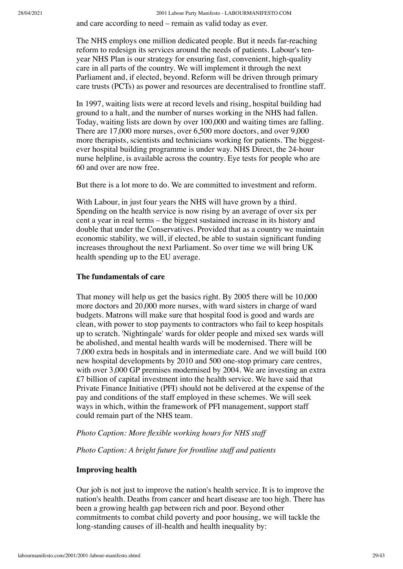and care according to need – remain as valid today as ever.

The NHS employs one million dedicated people. But it needs far-reaching reform to redesign its services around the needs of patients. Labour's tenyear NHS Plan is our strategy for ensuring fast, convenient, high-quality care in all parts of the country. We will implement it through the next Parliament and, if elected, beyond. Reform will be driven through primary care trusts (PCTs) as power and resources are decentralised to frontline staff.

In 1997, waiting lists were at record levels and rising, hospital building had ground to a halt, and the number of nurses working in the NHS had fallen. Today, waiting lists are down by over 100,000 and waiting times are falling. There are 17,000 more nurses, over 6,500 more doctors, and over 9,000 more therapists, scientists and technicians working for patients. The biggestever hospital building programme is under way. NHS Direct, the 24-hour nurse helpline, is available across the country. Eye tests for people who are 60 and over are now free.

But there is a lot more to do. We are committed to investment and reform.

With Labour, in just four years the NHS will have grown by a third. Spending on the health service is now rising by an average of over six per cent a year in real terms – the biggest sustained increase in its history and double that under the Conservatives. Provided that as a country we maintain economic stability, we will, if elected, be able to sustain significant funding increases throughout the next Parliament. So over time we will bring UK health spending up to the EU average.

### **The fundamentals of care**

That money will help us get the basics right. By 2005 there will be 10,000 more doctors and 20,000 more nurses, with ward sisters in charge of ward budgets. Matrons will make sure that hospital food is good and wards are clean, with power to stop payments to contractors who fail to keep hospitals up to scratch. 'Nightingale' wards for older people and mixed sex wards will be abolished, and mental health wards will be modernised. There will be 7,000 extra beds in hospitals and in intermediate care. And we will build 100 new hospital developments by 2010 and 500 one-stop primary care centres, with over 3,000 GP premises modernised by 2004. We are investing an extra £7 billion of capital investment into the health service. We have said that Private Finance Initiative (PFI) should not be delivered at the expense of the pay and conditions of the staff employed in these schemes. We will seek ways in which, within the framework of PFI management, support staff could remain part of the NHS team.

### *Photo Caption: More flexible working hours for NHS staff*

*Photo Caption: A bright future for frontline staff and patients*

### **Improving health**

Our job is not just to improve the nation's health service. It is to improve the nation's health. Deaths from cancer and heart disease are too high. There has been a growing health gap between rich and poor. Beyond other commitments to combat child poverty and poor housing, we will tackle the long-standing causes of ill-health and health inequality by: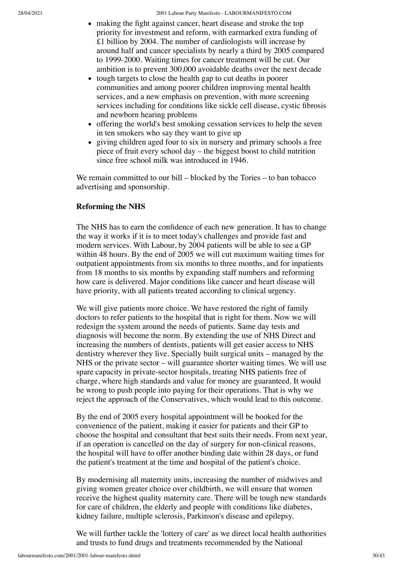- making the fight against cancer, heart disease and stroke the top priority for investment and reform, with earmarked extra funding of £1 billion by 2004. The number of cardiologists will increase by around half and cancer specialists by nearly a third by 2005 compared to 1999-2000. Waiting times for cancer treatment will be cut. Our ambition is to prevent 300,000 avoidable deaths over the next decade
- tough targets to close the health gap to cut deaths in poorer communities and among poorer children improving mental health services, and a new emphasis on prevention, with more screening services including for conditions like sickle cell disease, cystic fibrosis and newborn hearing problems
- offering the world's best smoking cessation services to help the seven in ten smokers who say they want to give up
- giving children aged four to six in nursery and primary schools a free piece of fruit every school day – the biggest boost to child nutrition since free school milk was introduced in 1946.

We remain committed to our bill – blocked by the Tories – to ban tobacco advertising and sponsorship.

### **Reforming the NHS**

The NHS has to earn the confidence of each new generation. It has to change the way it works if it is to meet today's challenges and provide fast and modern services. With Labour, by 2004 patients will be able to see a GP within 48 hours. By the end of 2005 we will cut maximum waiting times for outpatient appointments from six months to three months, and for inpatients from 18 months to six months by expanding staff numbers and reforming how care is delivered. Major conditions like cancer and heart disease will have priority, with all patients treated according to clinical urgency.

We will give patients more choice. We have restored the right of family doctors to refer patients to the hospital that is right for them. Now we will redesign the system around the needs of patients. Same day tests and diagnosis will become the norm. By extending the use of NHS Direct and increasing the numbers of dentists, patients will get easier access to NHS dentistry wherever they live. Specially built surgical units – managed by the NHS or the private sector – will guarantee shorter waiting times. We will use spare capacity in private-sector hospitals, treating NHS patients free of charge, where high standards and value for money are guaranteed. It would be wrong to push people into paying for their operations. That is why we reject the approach of the Conservatives, which would lead to this outcome.

By the end of 2005 every hospital appointment will be booked for the convenience of the patient, making it easier for patients and their GP to choose the hospital and consultant that best suits their needs. From next year, if an operation is cancelled on the day of surgery for non-clinical reasons, the hospital will have to offer another binding date within 28 days, or fund the patient's treatment at the time and hospital of the patient's choice.

By modernising all maternity units, increasing the number of midwives and giving women greater choice over childbirth, we will ensure that women receive the highest quality maternity care. There will be tough new standards for care of children, the elderly and people with conditions like diabetes, kidney failure, multiple sclerosis, Parkinson's disease and epilepsy.

We will further tackle the 'lottery of care' as we direct local health authorities and trusts to fund drugs and treatments recommended by the National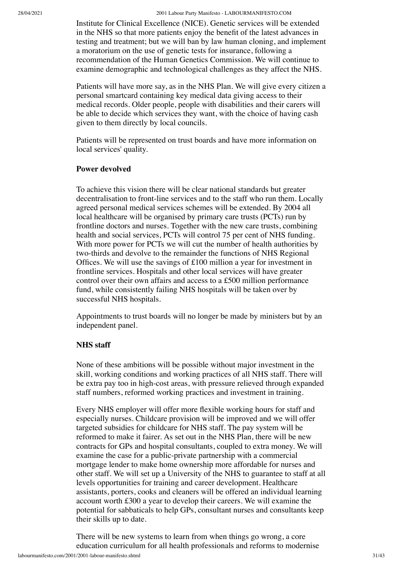Institute for Clinical Excellence (NICE). Genetic services will be extended in the NHS so that more patients enjoy the benefit of the latest advances in testing and treatment; but we will ban by law human cloning, and implement a moratorium on the use of genetic tests for insurance, following a recommendation of the Human Genetics Commission. We will continue to examine demographic and technological challenges as they affect the NHS.

Patients will have more say, as in the NHS Plan. We will give every citizen a personal smartcard containing key medical data giving access to their medical records. Older people, people with disabilities and their carers will be able to decide which services they want, with the choice of having cash given to them directly by local councils.

Patients will be represented on trust boards and have more information on local services' quality.

#### **Power devolved**

To achieve this vision there will be clear national standards but greater decentralisation to front-line services and to the staff who run them. Locally agreed personal medical services schemes will be extended. By 2004 all local healthcare will be organised by primary care trusts (PCTs) run by frontline doctors and nurses. Together with the new care trusts, combining health and social services, PCTs will control 75 per cent of NHS funding. With more power for PCTs we will cut the number of health authorities by two-thirds and devolve to the remainder the functions of NHS Regional Offices. We will use the savings of £100 million a year for investment in frontline services. Hospitals and other local services will have greater control over their own affairs and access to a £500 million performance fund, while consistently failing NHS hospitals will be taken over by successful NHS hospitals.

Appointments to trust boards will no longer be made by ministers but by an independent panel.

#### **NHS staff**

None of these ambitions will be possible without major investment in the skill, working conditions and working practices of all NHS staff. There will be extra pay too in high-cost areas, with pressure relieved through expanded staff numbers, reformed working practices and investment in training.

Every NHS employer will offer more flexible working hours for staff and especially nurses. Childcare provision will be improved and we will offer targeted subsidies for childcare for NHS staff. The pay system will be reformed to make it fairer. As set out in the NHS Plan, there will be new contracts for GPs and hospital consultants, coupled to extra money. We will examine the case for a public-private partnership with a commercial mortgage lender to make home ownership more affordable for nurses and other staff. We will set up a University of the NHS to guarantee to staff at all levels opportunities for training and career development. Healthcare assistants, porters, cooks and cleaners will be offered an individual learning account worth £300 a year to develop their careers. We will examine the potential for sabbaticals to help GPs, consultant nurses and consultants keep their skills up to date.

There will be new systems to learn from when things go wrong, a core education curriculum for all health professionals and reforms to modernise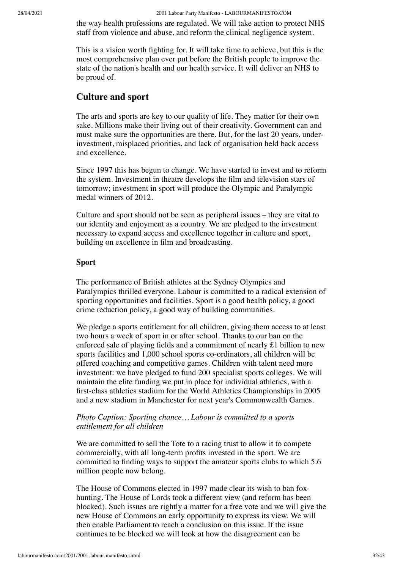the way health professions are regulated. We will take action to protect NHS staff from violence and abuse, and reform the clinical negligence system.

This is a vision worth fighting for. It will take time to achieve, but this is the most comprehensive plan ever put before the British people to improve the state of the nation's health and our health service. It will deliver an NHS to be proud of.

### **Culture and sport**

The arts and sports are key to our quality of life. They matter for their own sake. Millions make their living out of their creativity. Government can and must make sure the opportunities are there. But, for the last 20 years, underinvestment, misplaced priorities, and lack of organisation held back access and excellence.

Since 1997 this has begun to change. We have started to invest and to reform the system. Investment in theatre develops the film and television stars of tomorrow; investment in sport will produce the Olympic and Paralympic medal winners of 2012.

Culture and sport should not be seen as peripheral issues – they are vital to our identity and enjoyment as a country. We are pledged to the investment necessary to expand access and excellence together in culture and sport, building on excellence in film and broadcasting.

#### **Sport**

The performance of British athletes at the Sydney Olympics and Paralympics thrilled everyone. Labour is committed to a radical extension of sporting opportunities and facilities. Sport is a good health policy, a good crime reduction policy, a good way of building communities.

We pledge a sports entitlement for all children, giving them access to at least two hours a week of sport in or after school. Thanks to our ban on the enforced sale of playing fields and a commitment of nearly £1 billion to new sports facilities and 1,000 school sports co-ordinators, all children will be offered coaching and competitive games. Children with talent need more investment: we have pledged to fund 200 specialist sports colleges. We will maintain the elite funding we put in place for individual athletics, with a first-class athletics stadium for the World Athletics Championships in 2005 and a new stadium in Manchester for next year's Commonwealth Games.

#### *Photo Caption: Sporting chance… Labour is committed to a sports entitlement for all children*

We are committed to sell the Tote to a racing trust to allow it to compete commercially, with all long-term profits invested in the sport. We are committed to finding ways to support the amateur sports clubs to which 5.6 million people now belong.

The House of Commons elected in 1997 made clear its wish to ban foxhunting. The House of Lords took a different view (and reform has been blocked). Such issues are rightly a matter for a free vote and we will give the new House of Commons an early opportunity to express its view. We will then enable Parliament to reach a conclusion on this issue. If the issue continues to be blocked we will look at how the disagreement can be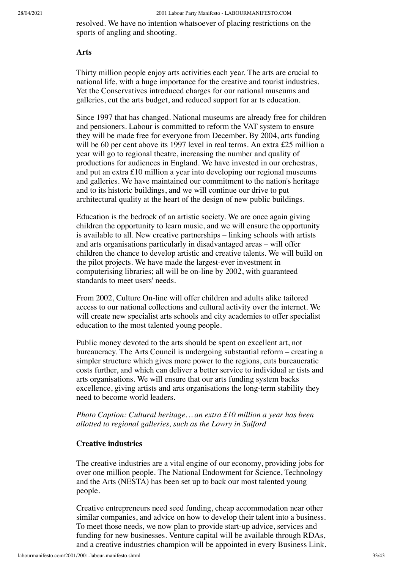resolved. We have no intention whatsoever of placing restrictions on the sports of angling and shooting.

#### **Arts**

Thirty million people enjoy arts activities each year. The arts are crucial to national life, with a huge importance for the creative and tourist industries. Yet the Conservatives introduced charges for our national museums and galleries, cut the arts budget, and reduced support for ar ts education.

Since 1997 that has changed. National museums are already free for children and pensioners. Labour is committed to reform the VAT system to ensure they will be made free for everyone from December. By 2004, arts funding will be 60 per cent above its 1997 level in real terms. An extra £25 million a year will go to regional theatre, increasing the number and quality of productions for audiences in England. We have invested in our orchestras, and put an extra £10 million a year into developing our regional museums and galleries. We have maintained our commitment to the nation's heritage and to its historic buildings, and we will continue our drive to put architectural quality at the heart of the design of new public buildings.

Education is the bedrock of an artistic society. We are once again giving children the opportunity to learn music, and we will ensure the opportunity is available to all. New creative partnerships – linking schools with artists and arts organisations particularly in disadvantaged areas – will offer children the chance to develop artistic and creative talents. We will build on the pilot projects. We have made the largest-ever investment in computerising libraries; all will be on-line by 2002, with guaranteed standards to meet users' needs.

From 2002, Culture On-line will offer children and adults alike tailored access to our national collections and cultural activity over the internet. We will create new specialist arts schools and city academies to offer specialist education to the most talented young people.

Public money devoted to the arts should be spent on excellent art, not bureaucracy. The Arts Council is undergoing substantial reform – creating a simpler structure which gives more power to the regions, cuts bureaucratic costs further, and which can deliver a better service to individual ar tists and arts organisations. We will ensure that our arts funding system backs excellence, giving artists and arts organisations the long-term stability they need to become world leaders.

### *Photo Caption: Cultural heritage… an extra £10 million a year has been allotted to regional galleries, such as the Lowry in Salford*

#### **Creative industries**

The creative industries are a vital engine of our economy, providing jobs for over one million people. The National Endowment for Science, Technology and the Arts (NESTA) has been set up to back our most talented young people.

Creative entrepreneurs need seed funding, cheap accommodation near other similar companies, and advice on how to develop their talent into a business. To meet those needs, we now plan to provide start-up advice, services and funding for new businesses. Venture capital will be available through RDAs, and a creative industries champion will be appointed in every Business Link.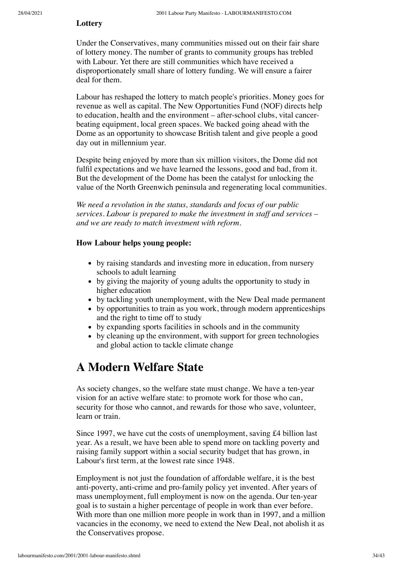### **Lottery**

Under the Conservatives, many communities missed out on their fair share of lottery money. The number of grants to community groups has trebled with Labour. Yet there are still communities which have received a disproportionately small share of lottery funding. We will ensure a fairer deal for them.

Labour has reshaped the lottery to match people's priorities. Money goes for revenue as well as capital. The New Opportunities Fund (NOF) directs help to education, health and the environment – after-school clubs, vital cancerbeating equipment, local green spaces. We backed going ahead with the Dome as an opportunity to showcase British talent and give people a good day out in millennium year.

Despite being enjoyed by more than six million visitors, the Dome did not fulfil expectations and we have learned the lessons, good and bad, from it. But the development of the Dome has been the catalyst for unlocking the value of the North Greenwich peninsula and regenerating local communities.

*We need a revolution in the status, standards and focus of our public services. Labour is prepared to make the investment in staff and services – and we are ready to match investment with reform.*

### **How Labour helps young people:**

- by raising standards and investing more in education, from nursery schools to adult learning
- by giving the majority of young adults the opportunity to study in higher education
- by tackling youth unemployment, with the New Deal made permanent
- by opportunities to train as you work, through modern apprenticeships and the right to time off to study
- by expanding sports facilities in schools and in the community
- by cleaning up the environment, with support for green technologies and global action to tackle climate change

## **A Modern Welfare State**

As society changes, so the welfare state must change. We have a ten-year vision for an active welfare state: to promote work for those who can, security for those who cannot, and rewards for those who save, volunteer, learn or train.

Since 1997, we have cut the costs of unemployment, saving £4 billion last year. As a result, we have been able to spend more on tackling poverty and raising family support within a social security budget that has grown, in Labour's first term, at the lowest rate since 1948.

Employment is not just the foundation of affordable welfare, it is the best anti-poverty, anti-crime and pro-family policy yet invented. After years of mass unemployment, full employment is now on the agenda. Our ten-year goal is to sustain a higher percentage of people in work than ever before. With more than one million more people in work than in 1997, and a million vacancies in the economy, we need to extend the New Deal, not abolish it as the Conservatives propose.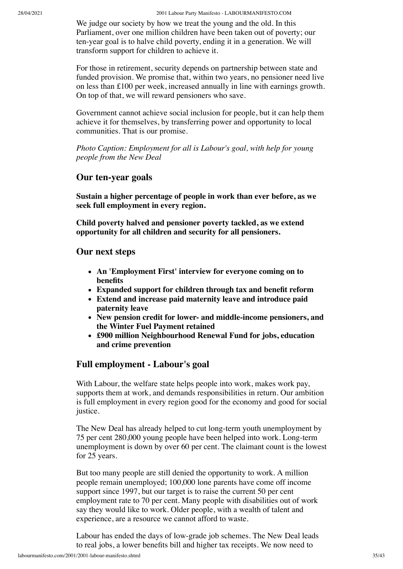We judge our society by how we treat the young and the old. In this Parliament, over one million children have been taken out of poverty; our ten-year goal is to halve child poverty, ending it in a generation. We will transform support for children to achieve it.

For those in retirement, security depends on partnership between state and funded provision. We promise that, within two years, no pensioner need live on less than £100 per week, increased annually in line with earnings growth. On top of that, we will reward pensioners who save.

Government cannot achieve social inclusion for people, but it can help them achieve it for themselves, by transferring power and opportunity to local communities. That is our promise.

*Photo Caption: Employment for all is Labour's goal, with help for young people from the New Deal*

### **Our ten-year goals**

**Sustain a higher percentage of people in work than ever before, as we seek full employment in every region.**

**Child poverty halved and pensioner poverty tackled, as we extend opportunity for all children and security for all pensioners.**

**Our next steps**

- **An 'Employment First' interview for everyone coming on to benefits**
- **Expanded support for children through tax and benefit reform**
- **Extend and increase paid maternity leave and introduce paid paternity leave**
- **New pension credit for lower- and middle-income pensioners, and the Winter Fuel Payment retained**
- **£900 million Neighbourhood Renewal Fund for jobs, education and crime prevention**

### **Full employment - Labour's goal**

With Labour, the welfare state helps people into work, makes work pay, supports them at work, and demands responsibilities in return. Our ambition is full employment in every region good for the economy and good for social justice.

The New Deal has already helped to cut long-term youth unemployment by 75 per cent 280,000 young people have been helped into work. Long-term unemployment is down by over 60 per cent. The claimant count is the lowest for 25 years.

But too many people are still denied the opportunity to work. A million people remain unemployed; 100,000 lone parents have come off income support since 1997, but our target is to raise the current 50 per cent employment rate to 70 per cent. Many people with disabilities out of work say they would like to work. Older people, with a wealth of talent and experience, are a resource we cannot afford to waste.

Labour has ended the days of low-grade job schemes. The New Deal leads to real jobs, a lower benefits bill and higher tax receipts. We now need to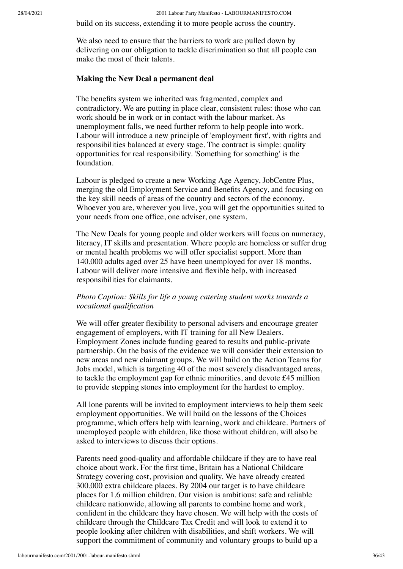build on its success, extending it to more people across the country.

We also need to ensure that the barriers to work are pulled down by delivering on our obligation to tackle discrimination so that all people can make the most of their talents.

### **Making the New Deal a permanent deal**

The benefits system we inherited was fragmented, complex and contradictory. We are putting in place clear, consistent rules: those who can work should be in work or in contact with the labour market. As unemployment falls, we need further reform to help people into work. Labour will introduce a new principle of 'employment first', with rights and responsibilities balanced at every stage. The contract is simple: quality opportunities for real responsibility. 'Something for something' is the foundation.

Labour is pledged to create a new Working Age Agency, JobCentre Plus, merging the old Employment Service and Benefits Agency, and focusing on the key skill needs of areas of the country and sectors of the economy. Whoever you are, wherever you live, you will get the opportunities suited to your needs from one office, one adviser, one system.

The New Deals for young people and older workers will focus on numeracy, literacy, IT skills and presentation. Where people are homeless or suffer drug or mental health problems we will offer specialist support. More than 140,000 adults aged over 25 have been unemployed for over 18 months. Labour will deliver more intensive and flexible help, with increased responsibilities for claimants.

### *Photo Caption: Skills for life a young catering student works towards a vocational qualification*

We will offer greater flexibility to personal advisers and encourage greater engagement of employers, with IT training for all New Dealers. Employment Zones include funding geared to results and public-private partnership. On the basis of the evidence we will consider their extension to new areas and new claimant groups. We will build on the Action Teams for Jobs model, which is targeting 40 of the most severely disadvantaged areas, to tackle the employment gap for ethnic minorities, and devote £45 million to provide stepping stones into employment for the hardest to employ.

All lone parents will be invited to employment interviews to help them seek employment opportunities. We will build on the lessons of the Choices programme, which offers help with learning, work and childcare. Partners of unemployed people with children, like those without children, will also be asked to interviews to discuss their options.

Parents need good-quality and affordable childcare if they are to have real choice about work. For the first time, Britain has a National Childcare Strategy covering cost, provision and quality. We have already created 300,000 extra childcare places. By 2004 our target is to have childcare places for 1.6 million children. Our vision is ambitious: safe and reliable childcare nationwide, allowing all parents to combine home and work, confident in the childcare they have chosen. We will help with the costs of childcare through the Childcare Tax Credit and will look to extend it to people looking after children with disabilities, and shift workers. We will support the commitment of community and voluntary groups to build up a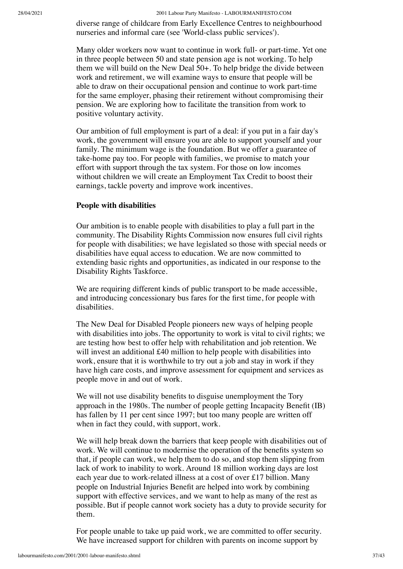diverse range of childcare from Early Excellence Centres to neighbourhood nurseries and informal care (see 'World-class public services').

Many older workers now want to continue in work full- or part-time. Yet one in three people between 50 and state pension age is not working. To help them we will build on the New Deal 50+. To help bridge the divide between work and retirement, we will examine ways to ensure that people will be able to draw on their occupational pension and continue to work part-time for the same employer, phasing their retirement without compromising their pension. We are exploring how to facilitate the transition from work to positive voluntary activity.

Our ambition of full employment is part of a deal: if you put in a fair day's work, the government will ensure you are able to support yourself and your family. The minimum wage is the foundation. But we offer a guarantee of take-home pay too. For people with families, we promise to match your effort with support through the tax system. For those on low incomes without children we will create an Employment Tax Credit to boost their earnings, tackle poverty and improve work incentives.

#### **People with disabilities**

Our ambition is to enable people with disabilities to play a full part in the community. The Disability Rights Commission now ensures full civil rights for people with disabilities; we have legislated so those with special needs or disabilities have equal access to education. We are now committed to extending basic rights and opportunities, as indicated in our response to the Disability Rights Taskforce.

We are requiring different kinds of public transport to be made accessible, and introducing concessionary bus fares for the first time, for people with disabilities.

The New Deal for Disabled People pioneers new ways of helping people with disabilities into jobs. The opportunity to work is vital to civil rights; we are testing how best to offer help with rehabilitation and job retention. We will invest an additional £40 million to help people with disabilities into work, ensure that it is worthwhile to try out a job and stay in work if they have high care costs, and improve assessment for equipment and services as people move in and out of work.

We will not use disability benefits to disguise unemployment the Tory approach in the 1980s. The number of people getting Incapacity Benefit (IB) has fallen by 11 per cent since 1997; but too many people are written off when in fact they could, with support, work.

We will help break down the barriers that keep people with disabilities out of work. We will continue to modernise the operation of the benefits system so that, if people can work, we help them to do so, and stop them slipping from lack of work to inability to work. Around 18 million working days are lost each year due to work-related illness at a cost of over £17 billion. Many people on Industrial Injuries Benefit are helped into work by combining support with effective services, and we want to help as many of the rest as possible. But if people cannot work society has a duty to provide security for them.

For people unable to take up paid work, we are committed to offer security. We have increased support for children with parents on income support by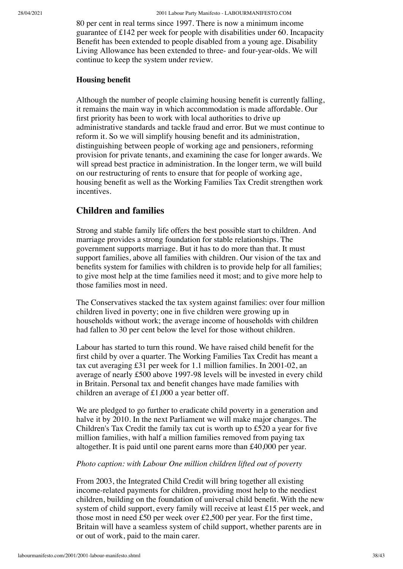80 per cent in real terms since 1997. There is now a minimum income guarantee of £142 per week for people with disabilities under 60. Incapacity Benefit has been extended to people disabled from a young age. Disability Living Allowance has been extended to three- and four-year-olds. We will continue to keep the system under review.

#### **Housing benefit**

Although the number of people claiming housing benefit is currently falling, it remains the main way in which accommodation is made affordable. Our first priority has been to work with local authorities to drive up administrative standards and tackle fraud and error. But we must continue to reform it. So we will simplify housing benefit and its administration, distinguishing between people of working age and pensioners, reforming provision for private tenants, and examining the case for longer awards. We will spread best practice in administration. In the longer term, we will build on our restructuring of rents to ensure that for people of working age, housing benefit as well as the Working Families Tax Credit strengthen work incentives.

### **Children and families**

Strong and stable family life offers the best possible start to children. And marriage provides a strong foundation for stable relationships. The government supports marriage. But it has to do more than that. It must support families, above all families with children. Our vision of the tax and benefits system for families with children is to provide help for all families; to give most help at the time families need it most; and to give more help to those families most in need.

The Conservatives stacked the tax system against families: over four million children lived in poverty; one in five children were growing up in households without work; the average income of households with children had fallen to 30 per cent below the level for those without children.

Labour has started to turn this round. We have raised child benefit for the first child by over a quarter. The Working Families Tax Credit has meant a tax cut averaging £31 per week for 1.1 million families. In 2001-02, an average of nearly £500 above 1997-98 levels will be invested in every child in Britain. Personal tax and benefit changes have made families with children an average of £1,000 a year better off.

We are pledged to go further to eradicate child poverty in a generation and halve it by 2010. In the next Parliament we will make major changes. The Children's Tax Credit the family tax cut is worth up to £520 a year for five million families, with half a million families removed from paying tax altogether. It is paid until one parent earns more than £40,000 per year.

#### *Photo caption: with Labour One million children lifted out of poverty*

From 2003, the Integrated Child Credit will bring together all existing income-related payments for children, providing most help to the neediest children, building on the foundation of universal child benefit. With the new system of child support, every family will receive at least £15 per week, and those most in need £50 per week over £2,500 per year. For the first time, Britain will have a seamless system of child support, whether parents are in or out of work, paid to the main carer.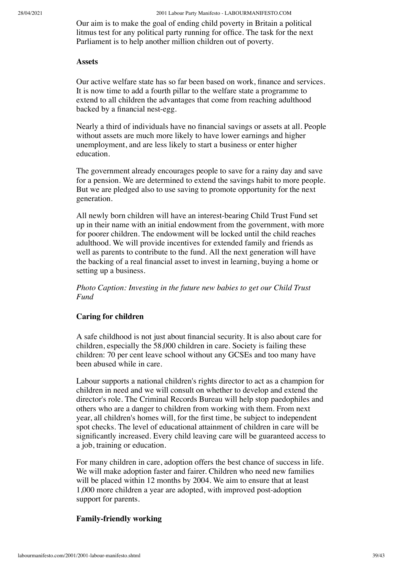Our aim is to make the goal of ending child poverty in Britain a political litmus test for any political party running for office. The task for the next Parliament is to help another million children out of poverty.

#### **Assets**

Our active welfare state has so far been based on work, finance and services. It is now time to add a fourth pillar to the welfare state a programme to extend to all children the advantages that come from reaching adulthood backed by a financial nest-egg.

Nearly a third of individuals have no financial savings or assets at all. People without assets are much more likely to have lower earnings and higher unemployment, and are less likely to start a business or enter higher education.

The government already encourages people to save for a rainy day and save for a pension. We are determined to extend the savings habit to more people. But we are pledged also to use saving to promote opportunity for the next generation.

All newly born children will have an interest-bearing Child Trust Fund set up in their name with an initial endowment from the government, with more for poorer children. The endowment will be locked until the child reaches adulthood. We will provide incentives for extended family and friends as well as parents to contribute to the fund. All the next generation will have the backing of a real financial asset to invest in learning, buying a home or setting up a business.

*Photo Caption: Investing in the future new babies to get our Child Trust Fund*

#### **Caring for children**

A safe childhood is not just about financial security. It is also about care for children, especially the 58,000 children in care. Society is failing these children: 70 per cent leave school without any GCSEs and too many have been abused while in care.

Labour supports a national children's rights director to act as a champion for children in need and we will consult on whether to develop and extend the director's role. The Criminal Records Bureau will help stop paedophiles and others who are a danger to children from working with them. From next year, all children's homes will, for the first time, be subject to independent spot checks. The level of educational attainment of children in care will be significantly increased. Every child leaving care will be guaranteed access to a job, training or education.

For many children in care, adoption offers the best chance of success in life. We will make adoption faster and fairer. Children who need new families will be placed within 12 months by 2004. We aim to ensure that at least 1,000 more children a year are adopted, with improved post-adoption support for parents.

#### **Family-friendly working**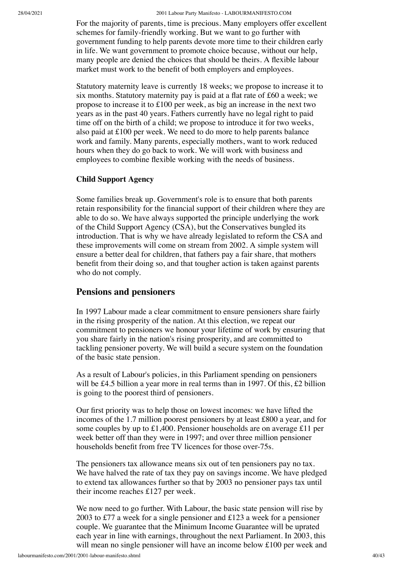For the majority of parents, time is precious. Many employers offer excellent schemes for family-friendly working. But we want to go further with government funding to help parents devote more time to their children early in life. We want government to promote choice because, without our help, many people are denied the choices that should be theirs. A flexible labour market must work to the benefit of both employers and employees.

Statutory maternity leave is currently 18 weeks; we propose to increase it to six months. Statutory maternity pay is paid at a flat rate of £60 a week; we propose to increase it to £100 per week, as big an increase in the next two years as in the past 40 years. Fathers currently have no legal right to paid time off on the birth of a child; we propose to introduce it for two weeks, also paid at £100 per week. We need to do more to help parents balance work and family. Many parents, especially mothers, want to work reduced hours when they do go back to work. We will work with business and employees to combine flexible working with the needs of business.

### **Child Support Agency**

Some families break up. Government's role is to ensure that both parents retain responsibility for the financial support of their children where they are able to do so. We have always supported the principle underlying the work of the Child Support Agency (CSA), but the Conservatives bungled its introduction. That is why we have already legislated to reform the CSA and these improvements will come on stream from 2002. A simple system will ensure a better deal for children, that fathers pay a fair share, that mothers benefit from their doing so, and that tougher action is taken against parents who do not comply.

### **Pensions and pensioners**

In 1997 Labour made a clear commitment to ensure pensioners share fairly in the rising prosperity of the nation. At this election, we repeat our commitment to pensioners we honour your lifetime of work by ensuring that you share fairly in the nation's rising prosperity, and are committed to tackling pensioner poverty. We will build a secure system on the foundation of the basic state pension.

As a result of Labour's policies, in this Parliament spending on pensioners will be £4.5 billion a year more in real terms than in 1997. Of this, £2 billion is going to the poorest third of pensioners.

Our first priority was to help those on lowest incomes: we have lifted the incomes of the 1.7 million poorest pensioners by at least £800 a year, and for some couples by up to £1,400. Pensioner households are on average £11 per week better off than they were in 1997; and over three million pensioner households benefit from free TV licences for those over-75s.

The pensioners tax allowance means six out of ten pensioners pay no tax. We have halved the rate of tax they pay on savings income. We have pledged to extend tax allowances further so that by 2003 no pensioner pays tax until their income reaches £127 per week.

We now need to go further. With Labour, the basic state pension will rise by 2003 to £77 a week for a single pensioner and £123 a week for a pensioner couple. We guarantee that the Minimum Income Guarantee will be uprated each year in line with earnings, throughout the next Parliament. In 2003, this will mean no single pensioner will have an income below £100 per week and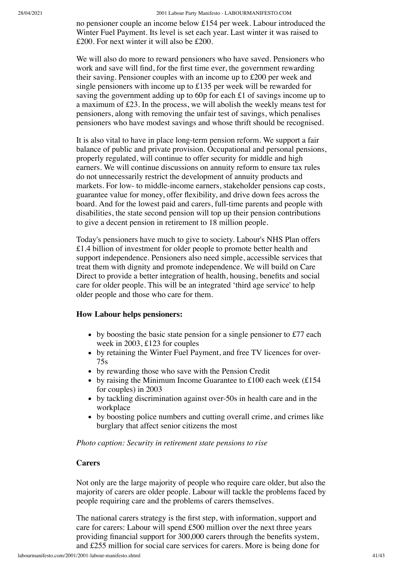no pensioner couple an income below £154 per week. Labour introduced the Winter Fuel Payment. Its level is set each year. Last winter it was raised to £200. For next winter it will also be £200.

We will also do more to reward pensioners who have saved. Pensioners who work and save will find, for the first time ever, the government rewarding their saving. Pensioner couples with an income up to £200 per week and single pensioners with income up to £135 per week will be rewarded for saving the government adding up to 60p for each £1 of savings income up to a maximum of £23. In the process, we will abolish the weekly means test for pensioners, along with removing the unfair test of savings, which penalises pensioners who have modest savings and whose thrift should be recognised.

It is also vital to have in place long-term pension reform. We support a fair balance of public and private provision. Occupational and personal pensions, properly regulated, will continue to offer security for middle and high earners. We will continue discussions on annuity reform to ensure tax rules do not unnecessarily restrict the development of annuity products and markets. For low- to middle-income earners, stakeholder pensions cap costs, guarantee value for money, offer flexibility, and drive down fees across the board. And for the lowest paid and carers, full-time parents and people with disabilities, the state second pension will top up their pension contributions to give a decent pension in retirement to 18 million people.

Today's pensioners have much to give to society. Labour's NHS Plan offers £1.4 billion of investment for older people to promote better health and support independence. Pensioners also need simple, accessible services that treat them with dignity and promote independence. We will build on Care Direct to provide a better integration of health, housing, benefits and social care for older people. This will be an integrated 'third age service' to help older people and those who care for them.

#### **How Labour helps pensioners:**

- $\bullet$  by boosting the basic state pension for a single pensioner to £77 each week in 2003, £123 for couples
- by retaining the Winter Fuel Payment, and free TV licences for over-75s
- by rewarding those who save with the Pension Credit
- by raising the Minimum Income Guarantee to  $£100$  each week (£154 for couples) in 2003
- by tackling discrimination against over-50s in health care and in the workplace
- by boosting police numbers and cutting overall crime, and crimes like burglary that affect senior citizens the most

*Photo caption: Security in retirement state pensions to rise*

#### **Carers**

Not only are the large majority of people who require care older, but also the majority of carers are older people. Labour will tackle the problems faced by people requiring care and the problems of carers themselves.

The national carers strategy is the first step, with information, support and care for carers: Labour will spend £500 million over the next three years providing financial support for 300,000 carers through the benefits system, and £255 million for social care services for carers. More is being done for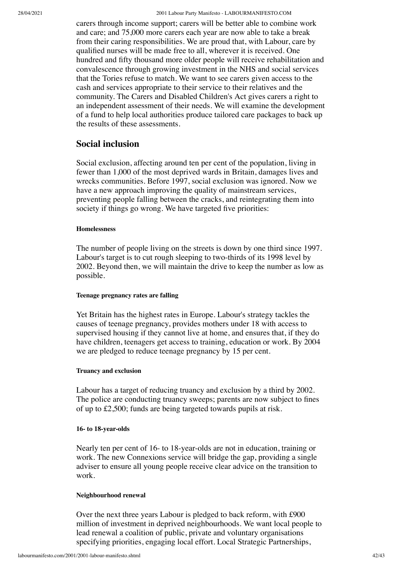carers through income support; carers will be better able to combine work and care; and 75,000 more carers each year are now able to take a break from their caring responsibilities. We are proud that, with Labour, care by qualified nurses will be made free to all, wherever it is received. One hundred and fifty thousand more older people will receive rehabilitation and convalescence through growing investment in the NHS and social services that the Tories refuse to match. We want to see carers given access to the cash and services appropriate to their service to their relatives and the community. The Carers and Disabled Children's Act gives carers a right to an independent assessment of their needs. We will examine the development of a fund to help local authorities produce tailored care packages to back up the results of these assessments.

### **Social inclusion**

Social exclusion, affecting around ten per cent of the population, living in fewer than 1,000 of the most deprived wards in Britain, damages lives and wrecks communities. Before 1997, social exclusion was ignored. Now we have a new approach improving the quality of mainstream services, preventing people falling between the cracks, and reintegrating them into society if things go wrong. We have targeted five priorities:

#### **Homelessness**

The number of people living on the streets is down by one third since 1997. Labour's target is to cut rough sleeping to two-thirds of its 1998 level by 2002. Beyond then, we will maintain the drive to keep the number as low as possible.

#### **Teenage pregnancy rates are falling**

Yet Britain has the highest rates in Europe. Labour's strategy tackles the causes of teenage pregnancy, provides mothers under 18 with access to supervised housing if they cannot live at home, and ensures that, if they do have children, teenagers get access to training, education or work. By 2004 we are pledged to reduce teenage pregnancy by 15 per cent.

#### **Truancy and exclusion**

Labour has a target of reducing truancy and exclusion by a third by 2002. The police are conducting truancy sweeps; parents are now subject to fines of up to £2,500; funds are being targeted towards pupils at risk.

#### **16- to 18-year-olds**

Nearly ten per cent of 16- to 18-year-olds are not in education, training or work. The new Connexions service will bridge the gap, providing a single adviser to ensure all young people receive clear advice on the transition to work.

#### **Neighbourhood renewal**

Over the next three years Labour is pledged to back reform, with £900 million of investment in deprived neighbourhoods. We want local people to lead renewal a coalition of public, private and voluntary organisations specifying priorities, engaging local effort. Local Strategic Partnerships,